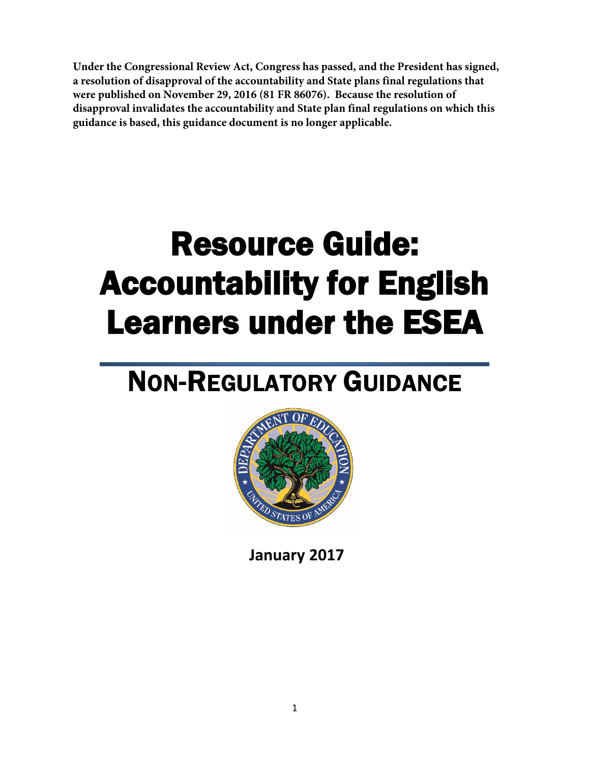**Under the Congressional Review Act, Congress has passed, and the President has signed, a resolution of disapproval of the accountability and State plans final regulations that were published on November 29, 2016 (81 FR 86076). Because the resolution of disapproval invalidates the accountability and State plan final regulations on which this guidance is based, this guidance document is no longer applicable.**

# Resource Guide: Accountability for English Learners under the ESEA

## NON-REGULATORY GUIDANCE



**January 2017**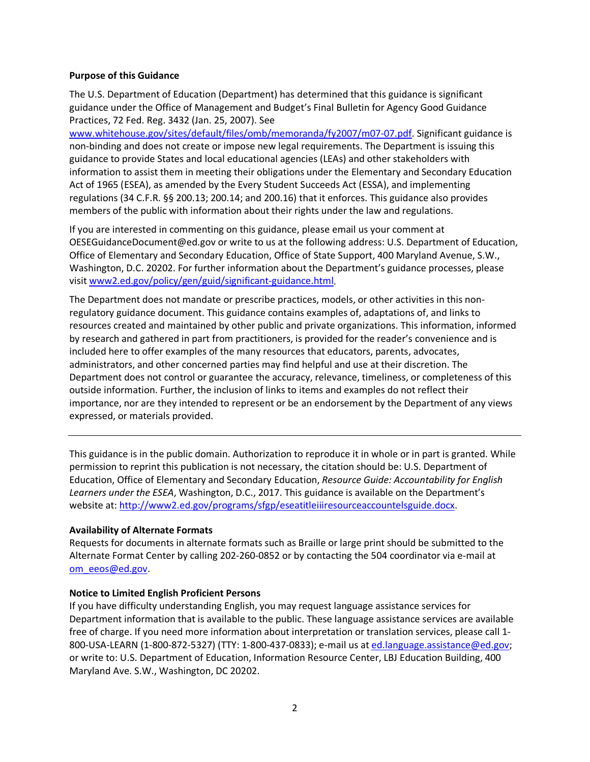#### **Purpose of this Guidance**

The U.S. Department of Education (Department) has determined that this guidance is significant guidance under the Office of Management and Budget's Final Bulletin for Agency Good Guidance Practices, 72 Fed. Reg. 3432 (Jan. 25, 2007). See

[www.whitehouse.gov/sites/default/files/omb/memoranda/fy2007/m07-07.pdf.](http://www.whitehouse.gov/sites/default/files/omb/memoranda/fy2007/m07-07.pdf) Significant guidance is non-binding and does not create or impose new legal requirements. The Department is issuing this guidance to provide States and local educational agencies (LEAs) and other stakeholders with information to assist them in meeting their obligations under the Elementary and Secondary Education Act of 1965 (ESEA), as amended by the Every Student Succeeds Act (ESSA), and implementing regulations (34 C.F.R. §§ 200.13; 200.14; and 200.16) that it enforces. This guidance also provides members of the public with information about their rights under the law and regulations.

If you are interested in commenting on this guidance, please email us your comment at OESEGuidanceDocument@ed.gov or write to us at the following address: U.S. Department of Education, Office of Elementary and Secondary Education, Office of State Support, 400 Maryland Avenue, S.W., Washington, D.C. 20202. For further information about the Department's guidance processes, please visi[t www2.ed.gov/policy/gen/guid/significant-guidance.html.](http://www2.ed.gov/policy/gen/guid/significant-guidance.html)

The Department does not mandate or prescribe practices, models, or other activities in this nonregulatory guidance document. This guidance contains examples of, adaptations of, and links to resources created and maintained by other public and private organizations. This information, informed by research and gathered in part from practitioners, is provided for the reader's convenience and is included here to offer examples of the many resources that educators, parents, advocates, administrators, and other concerned parties may find helpful and use at their discretion. The Department does not control or guarantee the accuracy, relevance, timeliness, or completeness of this outside information. Further, the inclusion of links to items and examples do not reflect their importance, nor are they intended to represent or be an endorsement by the Department of any views expressed, or materials provided.

This guidance is in the public domain. Authorization to reproduce it in whole or in part is granted. While permission to reprint this publication is not necessary, the citation should be: U.S. Department of Education, Office of Elementary and Secondary Education, *Resource Guide: Accountability for English Learners under the ESEA*, Washington, D.C., 2017. This guidance is available on the Department's website at: [http://www2.ed.gov/programs/sfgp/eseatitleiiiresourceaccountelsguide.docx.](http://www2.ed.gov/programs/sfgp/eseatitleiiiresourceaccountelsguide.docx)

#### **Availability of Alternate Formats**

Requests for documents in alternate formats such as Braille or large print should be submitted to the Alternate Format Center by calling 202-260-0852 or by contacting the 504 coordinator via e-mail at [om\\_eeos@ed.gov.](mailto:om_eeos@ed.gov)

#### **Notice to Limited English Proficient Persons**

If you have difficulty understanding English, you may request language assistance services for Department information that is available to the public. These language assistance services are available free of charge. If you need more information about interpretation or translation services, please call 1 800-USA-LEARN (1-800-872-5327) (TTY: 1-800-437-0833); e-mail us at [ed.language.assistance@ed.gov;](mailto:ed.language.assistance@ed.gov) or write to: U.S. Department of Education, Information Resource Center, LBJ Education Building, 400 Maryland Ave. S.W., Washington, DC 20202.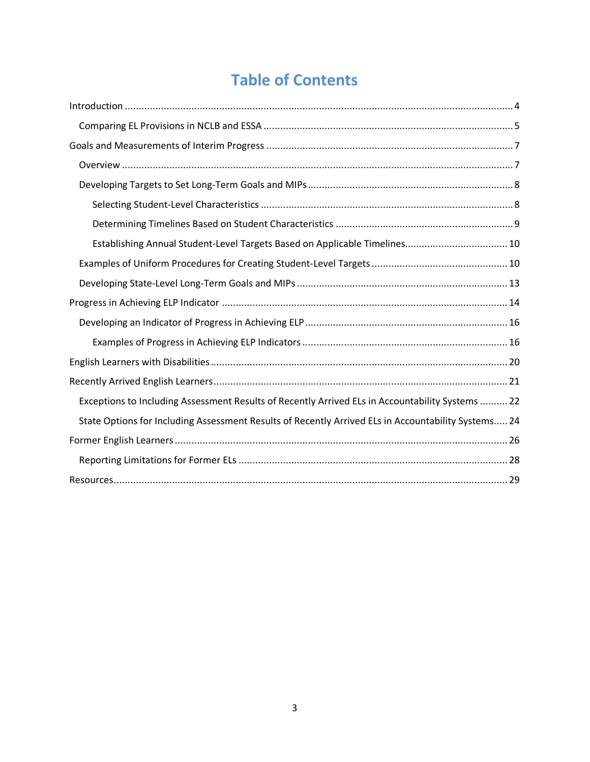### **Table of Contents**

| Establishing Annual Student-Level Targets Based on Applicable Timelines 10                          |
|-----------------------------------------------------------------------------------------------------|
|                                                                                                     |
|                                                                                                     |
|                                                                                                     |
|                                                                                                     |
|                                                                                                     |
|                                                                                                     |
|                                                                                                     |
| Exceptions to Including Assessment Results of Recently Arrived ELs in Accountability Systems  22    |
| State Options for Including Assessment Results of Recently Arrived ELs in Accountability Systems 24 |
|                                                                                                     |
|                                                                                                     |
|                                                                                                     |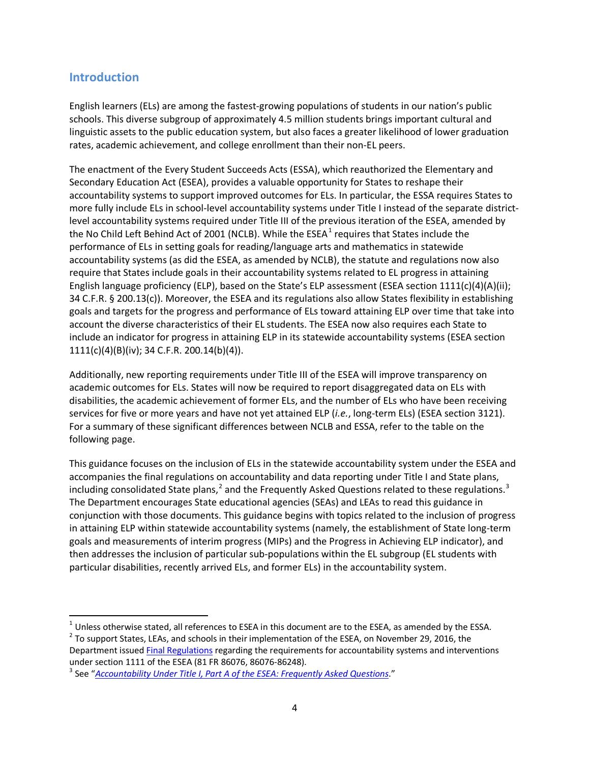#### <span id="page-3-0"></span>**Introduction**

English learners (ELs) are among the fastest-growing populations of students in our nation's public schools. This diverse subgroup of approximately 4.5 million students brings important cultural and linguistic assets to the public education system, but also faces a greater likelihood of lower graduation rates, academic achievement, and college enrollment than their non-EL peers.

The enactment of the Every Student Succeeds Acts (ESSA), which reauthorized the Elementary and Secondary Education Act (ESEA), provides a valuable opportunity for States to reshape their accountability systems to support improved outcomes for ELs. In particular, the ESSA requires States to more fully include ELs in school-level accountability systems under Title I instead of the separate districtlevel accountability systems required under Title III of the previous iteration of the ESEA, amended by the No Child Left Behind Act of 200[1](#page-3-1) (NCLB). While the  $ESEA<sup>1</sup>$  requires that States include the performance of ELs in setting goals for reading/language arts and mathematics in statewide accountability systems (as did the ESEA, as amended by NCLB), the statute and regulations now also require that States include goals in their accountability systems related to EL progress in attaining English language proficiency (ELP), based on the State's ELP assessment (ESEA section 1111(c)(4)(A)(ii); 34 C.F.R. § 200.13(c)). Moreover, the ESEA and its regulations also allow States flexibility in establishing goals and targets for the progress and performance of ELs toward attaining ELP over time that take into account the diverse characteristics of their EL students. The ESEA now also requires each State to include an indicator for progress in attaining ELP in its statewide accountability systems (ESEA section 1111(c)(4)(B)(iv); 34 C.F.R. 200.14(b)(4)).

Additionally, new reporting requirements under Title III of the ESEA will improve transparency on academic outcomes for ELs. States will now be required to report disaggregated data on ELs with disabilities, the academic achievement of former ELs, and the number of ELs who have been receiving services for five or more years and have not yet attained ELP (*i.e.*, long-term ELs) (ESEA section 3121). For a summary of these significant differences between NCLB and ESSA, refer to the table on the following page.

This guidance focuses on the inclusion of ELs in the statewide accountability system under the ESEA and accompanies the final regulations on accountability and data reporting under Title I and State plans, including consolidated State plans,<sup>[2](#page-3-2)</sup> and the Frequently Asked Questions related to these regulations.<sup>[3](#page-3-3)</sup> The Department encourages State educational agencies (SEAs) and LEAs to read this guidance in conjunction with those documents. This guidance begins with topics related to the inclusion of progress in attaining ELP within statewide accountability systems (namely, the establishment of State long-term goals and measurements of interim progress (MIPs) and the Progress in Achieving ELP indicator), and then addresses the inclusion of particular sub-populations within the EL subgroup (EL students with particular disabilities, recently arrived ELs, and former ELs) in the accountability system.

<span id="page-3-1"></span> $1$  Unless otherwise stated, all references to ESEA in this document are to the ESEA, as amended by the ESSA.

<span id="page-3-2"></span> $2$  To support States, LEAs, and schools in their implementation of the ESEA, on November 29, 2016, the Department issue[d Final Regulations](https://www.federalregister.gov/documents/2016/11/29/2016-27985/elementary-and-secondary-education-act-of-1965-as-amended-by-the-every-student-succeeds) regarding the requirements for accountability systems and interventions under section 1111 of the ESEA (81 FR 86076, 86076-86248).<br><sup>3</sup> See "[Accountability Under Title I, Part A of the ESEA: Frequently Asked Questions](http://www2.ed.gov/programs/titleiparta/eseatitleiaccountabilityfaqs.docx)."

<span id="page-3-3"></span>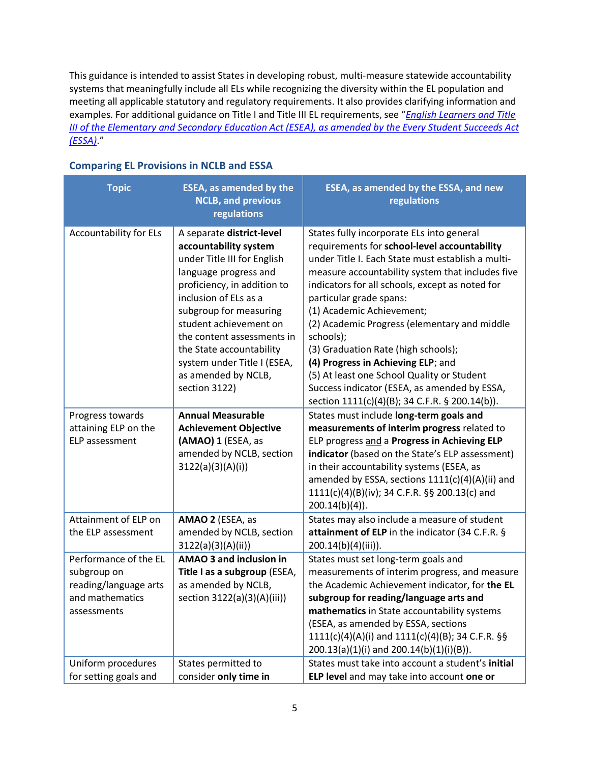This guidance is intended to assist States in developing robust, multi-measure statewide accountability systems that meaningfully include all ELs while recognizing the diversity within the EL population and meeting all applicable statutory and regulatory requirements. It also provides clarifying information and examples. For additional guidance on Title I and Title III EL requirements, see "*[English Learners and](http://www2.ed.gov/policy/elsec/leg/essa/essatitleiiiguidenglishlearners92016.pdf) Title [III of the Elementary and Secondary Education Act \(ESEA\), as amended by the Every Student Succeeds Act](http://www2.ed.gov/policy/elsec/leg/essa/essatitleiiiguidenglishlearners92016.pdf)  [\(ESSA\)](http://www2.ed.gov/policy/elsec/leg/essa/essatitleiiiguidenglishlearners92016.pdf)*."

| <b>Topic</b>                                                                                    | <b>ESEA, as amended by the</b><br><b>NCLB, and previous</b><br>regulations                                                                                                                                                                                                                                                                              | ESEA, as amended by the ESSA, and new<br>regulations                                                                                                                                                                                                                                                                                                                                                                                                                                                                                                                                                    |
|-------------------------------------------------------------------------------------------------|---------------------------------------------------------------------------------------------------------------------------------------------------------------------------------------------------------------------------------------------------------------------------------------------------------------------------------------------------------|---------------------------------------------------------------------------------------------------------------------------------------------------------------------------------------------------------------------------------------------------------------------------------------------------------------------------------------------------------------------------------------------------------------------------------------------------------------------------------------------------------------------------------------------------------------------------------------------------------|
| <b>Accountability for ELs</b>                                                                   | A separate district-level<br>accountability system<br>under Title III for English<br>language progress and<br>proficiency, in addition to<br>inclusion of ELs as a<br>subgroup for measuring<br>student achievement on<br>the content assessments in<br>the State accountability<br>system under Title I (ESEA,<br>as amended by NCLB,<br>section 3122) | States fully incorporate ELs into general<br>requirements for school-level accountability<br>under Title I. Each State must establish a multi-<br>measure accountability system that includes five<br>indicators for all schools, except as noted for<br>particular grade spans:<br>(1) Academic Achievement;<br>(2) Academic Progress (elementary and middle<br>schools);<br>(3) Graduation Rate (high schools);<br>(4) Progress in Achieving ELP; and<br>(5) At least one School Quality or Student<br>Success indicator (ESEA, as amended by ESSA,<br>section 1111(c)(4)(B); 34 C.F.R. § 200.14(b)). |
| Progress towards<br>attaining ELP on the<br>ELP assessment                                      | <b>Annual Measurable</b><br><b>Achievement Objective</b><br>(AMAO) 1 (ESEA, as<br>amended by NCLB, section<br>3122(a)(3)(A)(i))                                                                                                                                                                                                                         | States must include long-term goals and<br>measurements of interim progress related to<br>ELP progress and a Progress in Achieving ELP<br>indicator (based on the State's ELP assessment)<br>in their accountability systems (ESEA, as<br>amended by ESSA, sections 1111(c)(4)(A)(ii) and<br>1111(c)(4)(B)(iv); 34 C.F.R. §§ 200.13(c) and<br>$200.14(b)(4)$ ).                                                                                                                                                                                                                                         |
| Attainment of ELP on<br>the ELP assessment                                                      | AMAO 2 (ESEA, as<br>amended by NCLB, section<br>3122(a)(3)(A)(ii))                                                                                                                                                                                                                                                                                      | States may also include a measure of student<br>attainment of ELP in the indicator (34 C.F.R. §<br>$200.14(b)(4)(iii)$ ).                                                                                                                                                                                                                                                                                                                                                                                                                                                                               |
| Performance of the EL<br>subgroup on<br>reading/language arts<br>and mathematics<br>assessments | AMAO 3 and inclusion in<br>Title I as a subgroup (ESEA,<br>as amended by NCLB,<br>section 3122(a)(3)(A)(iii))                                                                                                                                                                                                                                           | States must set long-term goals and<br>measurements of interim progress, and measure<br>the Academic Achievement indicator, for the EL<br>subgroup for reading/language arts and<br>mathematics in State accountability systems<br>(ESEA, as amended by ESSA, sections<br>1111(c)(4)(A)(i) and 1111(c)(4)(B); 34 C.F.R. §§<br>200.13(a)(1)(i) and 200.14(b)(1)(i)(B)).                                                                                                                                                                                                                                  |
| Uniform procedures<br>for setting goals and                                                     | States permitted to<br>consider only time in                                                                                                                                                                                                                                                                                                            | States must take into account a student's initial<br>ELP level and may take into account one or                                                                                                                                                                                                                                                                                                                                                                                                                                                                                                         |

#### <span id="page-4-0"></span>**Comparing EL Provisions in NCLB and ESSA**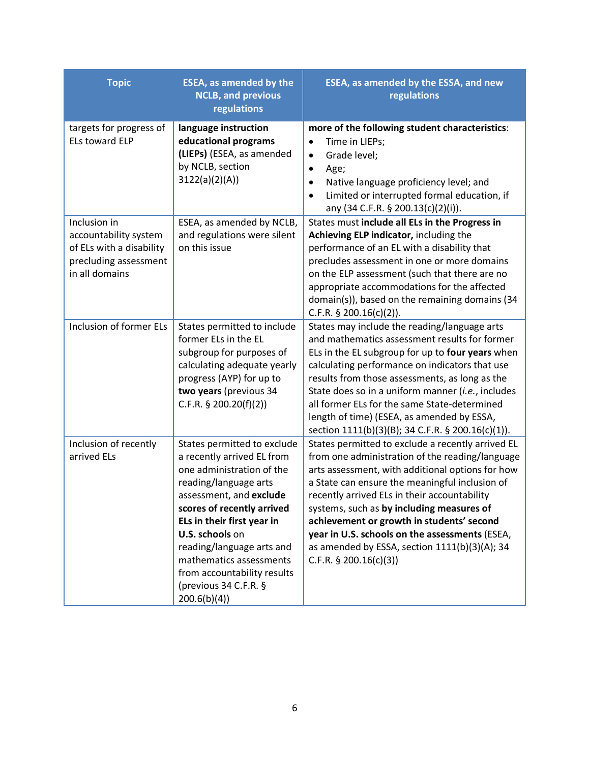| <b>Topic</b>                                                                                                 | <b>ESEA, as amended by the</b><br><b>NCLB, and previous</b><br>regulations                                                                                                                                                                                                                                                                               | ESEA, as amended by the ESSA, and new<br>regulations                                                                                                                                                                                                                                                                                                                                                                                                                                 |
|--------------------------------------------------------------------------------------------------------------|----------------------------------------------------------------------------------------------------------------------------------------------------------------------------------------------------------------------------------------------------------------------------------------------------------------------------------------------------------|--------------------------------------------------------------------------------------------------------------------------------------------------------------------------------------------------------------------------------------------------------------------------------------------------------------------------------------------------------------------------------------------------------------------------------------------------------------------------------------|
| targets for progress of<br><b>ELs toward ELP</b>                                                             | language instruction<br>educational programs<br>(LIEPs) (ESEA, as amended<br>by NCLB, section<br>3122(a)(2)(A))                                                                                                                                                                                                                                          | more of the following student characteristics:<br>Time in LIEPs;<br>$\bullet$<br>Grade level;<br>$\bullet$<br>Age;<br>$\bullet$<br>Native language proficiency level; and<br>$\bullet$<br>Limited or interrupted formal education, if<br>$\bullet$<br>any (34 C.F.R. § 200.13(c)(2)(i)).                                                                                                                                                                                             |
| Inclusion in<br>accountability system<br>of ELs with a disability<br>precluding assessment<br>in all domains | ESEA, as amended by NCLB,<br>and regulations were silent<br>on this issue                                                                                                                                                                                                                                                                                | States must include all ELs in the Progress in<br>Achieving ELP indicator, including the<br>performance of an EL with a disability that<br>precludes assessment in one or more domains<br>on the ELP assessment (such that there are no<br>appropriate accommodations for the affected<br>domain(s)), based on the remaining domains (34<br>C.F.R. $\S$ 200.16(c)(2)).                                                                                                               |
| <b>Inclusion of former ELs</b>                                                                               | States permitted to include<br>former ELs in the EL<br>subgroup for purposes of<br>calculating adequate yearly<br>progress (AYP) for up to<br>two years (previous 34<br>C.F.R. $\S$ 200.20(f)(2))                                                                                                                                                        | States may include the reading/language arts<br>and mathematics assessment results for former<br>ELs in the EL subgroup for up to four years when<br>calculating performance on indicators that use<br>results from those assessments, as long as the<br>State does so in a uniform manner (i.e., includes<br>all former ELs for the same State-determined<br>length of time) (ESEA, as amended by ESSA,<br>section 1111(b)(3)(B); 34 C.F.R. § 200.16(c)(1)).                        |
| Inclusion of recently<br>arrived ELs                                                                         | States permitted to exclude<br>a recently arrived EL from<br>one administration of the<br>reading/language arts<br>assessment, and exclude<br>scores of recently arrived<br>ELs in their first year in<br>U.S. schools on<br>reading/language arts and<br>mathematics assessments<br>from accountability results<br>(previous 34 C.F.R. §<br>200.6(b)(4) | States permitted to exclude a recently arrived EL<br>from one administration of the reading/language<br>arts assessment, with additional options for how<br>a State can ensure the meaningful inclusion of<br>recently arrived ELs in their accountability<br>systems, such as by including measures of<br>achievement or growth in students' second<br>year in U.S. schools on the assessments (ESEA,<br>as amended by ESSA, section 1111(b)(3)(A); 34<br>C.F.R. $\S$ 200.16(c)(3)) |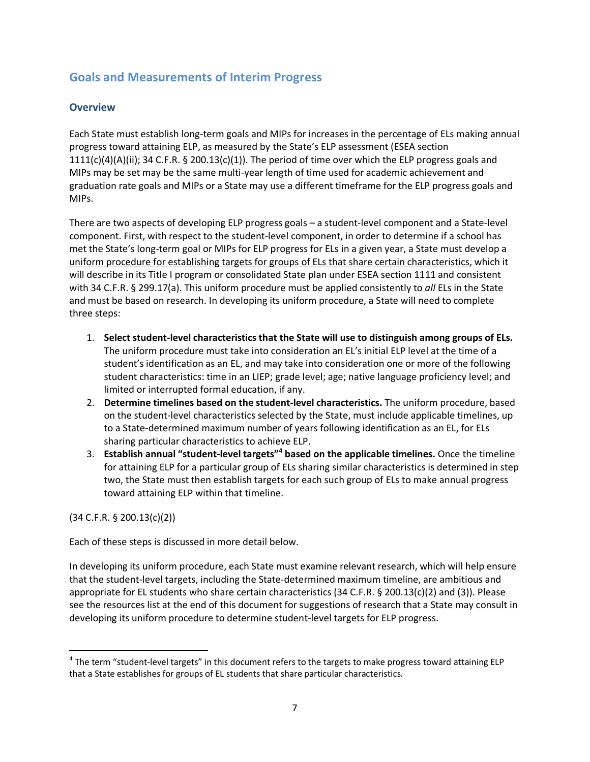#### <span id="page-6-0"></span>**Goals and Measurements of Interim Progress**

#### <span id="page-6-1"></span>**Overview**

Each State must establish long-term goals and MIPs for increases in the percentage of ELs making annual progress toward attaining ELP, as measured by the State's ELP assessment (ESEA section  $1111(c)(4)(A)(ii)$ ; 34 C.F.R. § 200.13(c)(1)). The period of time over which the ELP progress goals and MIPs may be set may be the same multi-year length of time used for academic achievement and graduation rate goals and MIPs or a State may use a different timeframe for the ELP progress goals and MIPs.

There are two aspects of developing ELP progress goals – a student-level component and a State-level component. First, with respect to the student-level component, in order to determine if a school has met the State's long-term goal or MIPs for ELP progress for ELs in a given year, a State must develop a uniform procedure for establishing targets for groups of ELs that share certain characteristics, which it will describe in its Title I program or consolidated State plan under ESEA section 1111 and consistent with 34 C.F.R. § 299.17(a). This uniform procedure must be applied consistently to *all* ELs in the State and must be based on research. In developing its uniform procedure, a State will need to complete three steps:

- 1. **Select student-level characteristics that the State will use to distinguish among groups of ELs.** The uniform procedure must take into consideration an EL's initial ELP level at the time of a student's identification as an EL, and may take into consideration one or more of the following student characteristics: time in an LIEP; grade level; age; native language proficiency level; and limited or interrupted formal education, if any.
- 2. **Determine timelines based on the student-level characteristics.** The uniform procedure, based on the student-level characteristics selected by the State, must include applicable timelines, up to a State-determined maximum number of years following identification as an EL, for ELs sharing particular characteristics to achieve ELP.
- 3. **Establish annual "student-level targets"[4](#page-6-2) based on the applicable timelines.** Once the timeline for attaining ELP for a particular group of ELs sharing similar characteristics is determined in step two, the State must then establish targets for each such group of ELs to make annual progress toward attaining ELP within that timeline.

(34 C.F.R. § 200.13(c)(2))

Each of these steps is discussed in more detail below.

In developing its uniform procedure, each State must examine relevant research, which will help ensure that the student-level targets, including the State-determined maximum timeline, are ambitious and appropriate for EL students who share certain characteristics (34 C.F.R. § 200.13(c)(2) and (3)). Please see the resources list at the end of this document for suggestions of research that a State may consult in developing its uniform procedure to determine student-level targets for ELP progress.

<span id="page-6-2"></span> $4$  The term "student-level targets" in this document refers to the targets to make progress toward attaining ELP that a State establishes for groups of EL students that share particular characteristics.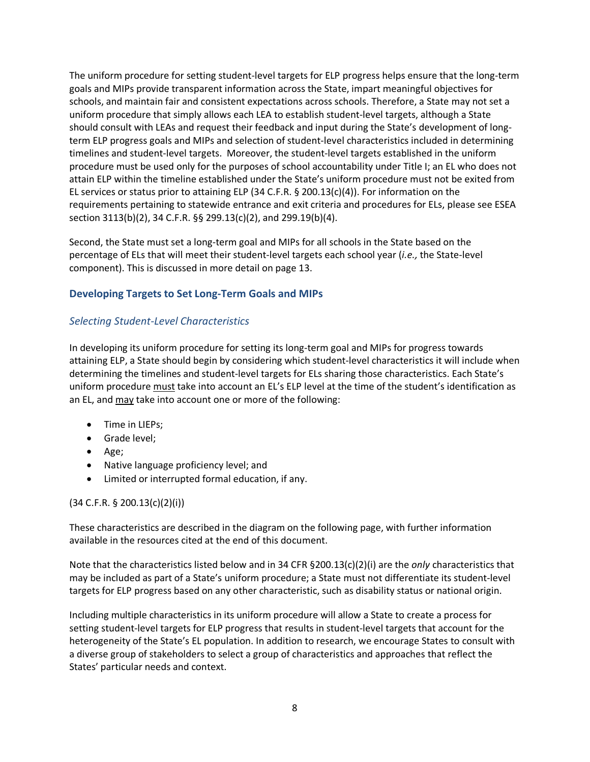The uniform procedure for setting student-level targets for ELP progress helps ensure that the long-term goals and MIPs provide transparent information across the State, impart meaningful objectives for schools, and maintain fair and consistent expectations across schools. Therefore, a State may not set a uniform procedure that simply allows each LEA to establish student-level targets, although a State should consult with LEAs and request their feedback and input during the State's development of longterm ELP progress goals and MIPs and selection of student-level characteristics included in determining timelines and student-level targets. Moreover, the student-level targets established in the uniform procedure must be used only for the purposes of school accountability under Title I; an EL who does not attain ELP within the timeline established under the State's uniform procedure must not be exited from EL services or status prior to attaining ELP (34 C.F.R.  $\S$  200.13(c)(4)). For information on the requirements pertaining to statewide entrance and exit criteria and procedures for ELs, please see ESEA section 3113(b)(2), 34 C.F.R. §§ 299.13(c)(2), and 299.19(b)(4).

Second, the State must set a long-term goal and MIPs for all schools in the State based on the percentage of ELs that will meet their student-level targets each school year (*i.e.,* the State-level component). This is discussed in more detail on page 13.

#### <span id="page-7-0"></span>**Developing Targets to Set Long-Term Goals and MIPs**

#### <span id="page-7-1"></span>*Selecting Student-Level Characteristics*

In developing its uniform procedure for setting its long-term goal and MIPs for progress towards attaining ELP, a State should begin by considering which student-level characteristics it will include when determining the timelines and student-level targets for ELs sharing those characteristics. Each State's uniform procedure must take into account an EL's ELP level at the time of the student's identification as an EL, and may take into account one or more of the following:

- Time in LIEPs;
- Grade level;
- Age;
- Native language proficiency level; and
- Limited or interrupted formal education, if any.

#### (34 C.F.R. § 200.13(c)(2)(i))

These characteristics are described in the diagram on the following page, with further information available in the resources cited at the end of this document.

Note that the characteristics listed below and in 34 CFR §200.13(c)(2)(i) are the *only* characteristics that may be included as part of a State's uniform procedure; a State must not differentiate its student-level targets for ELP progress based on any other characteristic, such as disability status or national origin.

Including multiple characteristics in its uniform procedure will allow a State to create a process for setting student-level targets for ELP progress that results in student-level targets that account for the heterogeneity of the State's EL population. In addition to research, we encourage States to consult with a diverse group of stakeholders to select a group of characteristics and approaches that reflect the States' particular needs and context.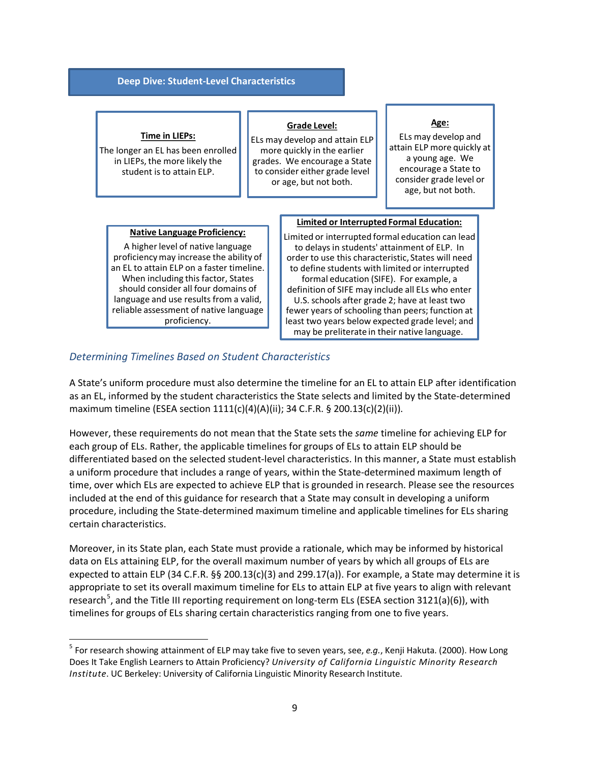#### **Deep Dive: Student-Level Characteristics**

#### **Time in LIEPs:**

The longer an EL has been enrolled in LIEPs, the more likely the student is to attain ELP.

#### **Grade Level:**

ELs may develop and attain ELP more quickly in the earlier grades. We encourage a State to consider either grade level or age, but not both.

#### **Age:**

ELs may develop and attain ELP more quickly at a young age. We encourage a State to consider grade level or age, but not both.

#### **Native Language Proficiency:**

A higher level of native language proficiency may increase the ability of an EL to attain ELP on a faster timeline. When including this factor, States should consider all four domains of language and use results from a valid, reliable assessment of native language proficiency.

#### **Limited or Interrupted Formal Education:**

Limited or interrupted formal education can lead to delays in students' attainment of ELP. In order to use this characteristic, States will need to define students with limited or interrupted formal education (SIFE). For example, a definition of SIFE may include all ELs who enter U.S. schools after grade 2; have at least two fewer years of schooling than peers; function at least two years below expected grade level; and may be preliterate in their native language.

#### <span id="page-8-0"></span>*Determining Timelines Based on Student Characteristics*

A State's uniform procedure must also determine the timeline for an EL to attain ELP after identification as an EL, informed by the student characteristics the State selects and limited by the State-determined maximum timeline (ESEA section 1111(c)(4)(A)(ii); 34 C.F.R. § 200.13(c)(2)(ii)).

However, these requirements do not mean that the State sets the *same* timeline for achieving ELP for each group of ELs. Rather, the applicable timelines for groups of ELs to attain ELP should be differentiated based on the selected student-level characteristics. In this manner, a State must establish a uniform procedure that includes a range of years, within the State-determined maximum length of time, over which ELs are expected to achieve ELP that is grounded in research. Please see the resources included at the end of this guidance for research that a State may consult in developing a uniform procedure, including the State-determined maximum timeline and applicable timelines for ELs sharing certain characteristics.

Moreover, in its State plan, each State must provide a rationale, which may be informed by historical data on ELs attaining ELP, for the overall maximum number of years by which all groups of ELs are expected to attain ELP (34 C.F.R. §§ 200.13(c)(3) and 299.17(a)). For example, a State may determine it is appropriate to set its overall maximum timeline for ELs to attain ELP at five years to align with relevant research<sup>[5](#page-8-1)</sup>, and the Title III reporting requirement on long-term ELs (ESEA section 3121(a)(6)), with timelines for groups of ELs sharing certain characteristics ranging from one to five years.

<span id="page-8-1"></span> <sup>5</sup> For research showing attainment of ELP may take five to seven years, see, *e.g.*, Kenji Hakuta. (2000). How Long Does It Take English Learners to Attain Proficiency? *University of California Linguistic Minority Research Institute*. UC Berkeley: University of California Linguistic Minority Research Institute.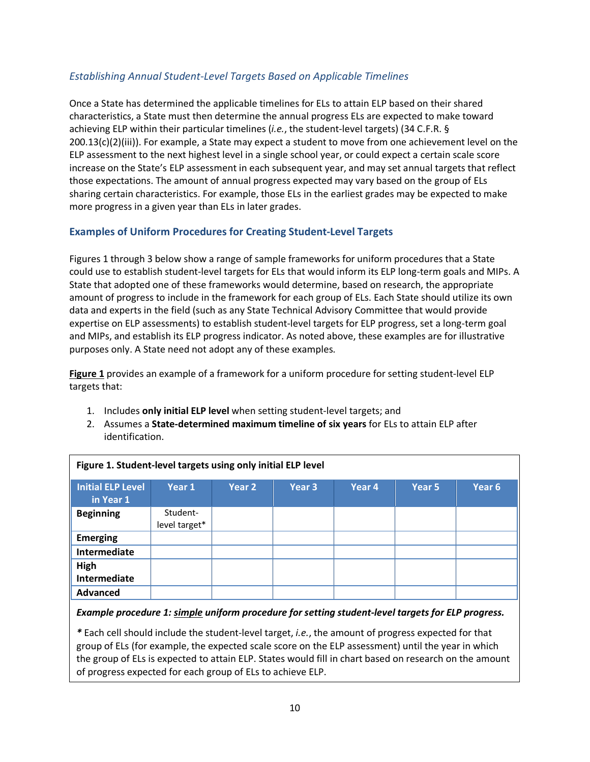#### <span id="page-9-0"></span>*Establishing Annual Student-Level Targets Based on Applicable Timelines*

Once a State has determined the applicable timelines for ELs to attain ELP based on their shared characteristics, a State must then determine the annual progress ELs are expected to make toward achieving ELP within their particular timelines (*i.e.*, the student-level targets) (34 C.F.R. §  $200.13(c)(2)(iii)$ . For example, a State may expect a student to move from one achievement level on the ELP assessment to the next highest level in a single school year, or could expect a certain scale score increase on the State's ELP assessment in each subsequent year, and may set annual targets that reflect those expectations. The amount of annual progress expected may vary based on the group of ELs sharing certain characteristics. For example, those ELs in the earliest grades may be expected to make more progress in a given year than ELs in later grades.

#### <span id="page-9-1"></span>**Examples of Uniform Procedures for Creating Student-Level Targets**

Figures 1 through 3 below show a range of sample frameworks for uniform procedures that a State could use to establish student-level targets for ELs that would inform its ELP long-term goals and MIPs. A State that adopted one of these frameworks would determine, based on research, the appropriate amount of progress to include in the framework for each group of ELs. Each State should utilize its own data and experts in the field (such as any State Technical Advisory Committee that would provide expertise on ELP assessments) to establish student-level targets for ELP progress, set a long-term goal and MIPs, and establish its ELP progress indicator. As noted above, these examples are for illustrative purposes only. A State need not adopt any of these examples.

**Figure 1** provides an example of a framework for a uniform procedure for setting student-level ELP targets that:

- 1. Includes **only initial ELP level** when setting student-level targets; and
- 2. Assumes a **State-determined maximum timeline of six years** for ELs to attain ELP after identification.

| Figure 1. Student-level targets using only initial ELP level |                           |        |                   |        |        |        |  |
|--------------------------------------------------------------|---------------------------|--------|-------------------|--------|--------|--------|--|
| <b>Initial ELP Level</b><br>in Year 1                        | Year 1                    | Year 2 | Year <sub>3</sub> | Year 4 | Year 5 | Year 6 |  |
| <b>Beginning</b>                                             | Student-<br>level target* |        |                   |        |        |        |  |
| <b>Emerging</b>                                              |                           |        |                   |        |        |        |  |
| Intermediate                                                 |                           |        |                   |        |        |        |  |
| High<br>Intermediate                                         |                           |        |                   |        |        |        |  |
| <b>Advanced</b>                                              |                           |        |                   |        |        |        |  |

#### *Example procedure 1: simple uniform procedure for setting student-level targets for ELP progress.*

*\** Each cell should include the student-level target, *i.e.*, the amount of progress expected for that group of ELs (for example, the expected scale score on the ELP assessment) until the year in which the group of ELs is expected to attain ELP. States would fill in chart based on research on the amount of progress expected for each group of ELs to achieve ELP.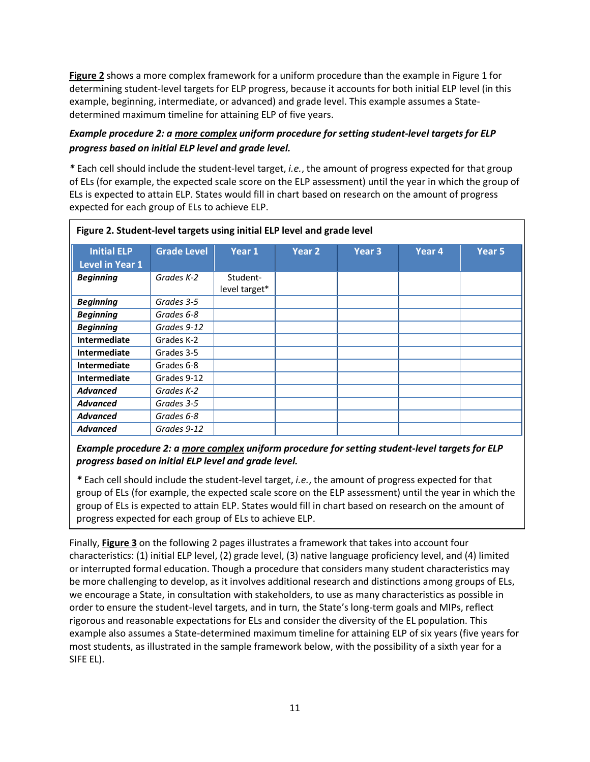**Figure 2** shows a more complex framework for a uniform procedure than the example in Figure 1 for determining student-level targets for ELP progress, because it accounts for both initial ELP level (in this example, beginning, intermediate, or advanced) and grade level. This example assumes a Statedetermined maximum timeline for attaining ELP of five years.

#### *Example procedure 2: a more complex uniform procedure for setting student-level targets for ELP progress based on initial ELP level and grade level.*

*\** Each cell should include the student-level target, *i.e.*, the amount of progress expected for that group of ELs (for example, the expected scale score on the ELP assessment) until the year in which the group of ELs is expected to attain ELP. States would fill in chart based on research on the amount of progress expected for each group of ELs to achieve ELP.

| Figure 2. Student-level targets using initial ELP level and grade level |                    |                           |                   |                   |        |        |
|-------------------------------------------------------------------------|--------------------|---------------------------|-------------------|-------------------|--------|--------|
| <b>Initial ELP</b><br><b>Level in Year 1</b>                            | <b>Grade Level</b> | Year 1                    | Year <sub>2</sub> | Year <sub>3</sub> | Year 4 | Year 5 |
| <b>Beginning</b>                                                        | Grades K-2         | Student-<br>level target* |                   |                   |        |        |
| <b>Beginning</b>                                                        | Grades 3-5         |                           |                   |                   |        |        |
| <b>Beginning</b>                                                        | Grades 6-8         |                           |                   |                   |        |        |
| <b>Beginning</b>                                                        | Grades 9-12        |                           |                   |                   |        |        |
| <b>Intermediate</b>                                                     | Grades K-2         |                           |                   |                   |        |        |
| Intermediate                                                            | Grades 3-5         |                           |                   |                   |        |        |
| <b>Intermediate</b>                                                     | Grades 6-8         |                           |                   |                   |        |        |
| Intermediate                                                            | Grades 9-12        |                           |                   |                   |        |        |
| <b>Advanced</b>                                                         | Grades K-2         |                           |                   |                   |        |        |
| <b>Advanced</b>                                                         | Grades 3-5         |                           |                   |                   |        |        |
| <b>Advanced</b>                                                         | Grades 6-8         |                           |                   |                   |        |        |
| <b>Advanced</b>                                                         | Grades 9-12        |                           |                   |                   |        |        |

#### *Example procedure 2: a more complex uniform procedure for setting student-level targets for ELP progress based on initial ELP level and grade level.*

*\** Each cell should include the student-level target, *i.e.*, the amount of progress expected for that group of ELs (for example, the expected scale score on the ELP assessment) until the year in which the group of ELs is expected to attain ELP. States would fill in chart based on research on the amount of progress expected for each group of ELs to achieve ELP.

Finally, **Figure 3** on the following 2 pages illustrates a framework that takes into account four characteristics: (1) initial ELP level, (2) grade level, (3) native language proficiency level, and (4) limited or interrupted formal education. Though a procedure that considers many student characteristics may be more challenging to develop, as it involves additional research and distinctions among groups of ELs, we encourage a State, in consultation with stakeholders, to use as many characteristics as possible in order to ensure the student-level targets, and in turn, the State's long-term goals and MIPs, reflect rigorous and reasonable expectations for ELs and consider the diversity of the EL population. This example also assumes a State-determined maximum timeline for attaining ELP of six years (five years for most students, as illustrated in the sample framework below, with the possibility of a sixth year for a SIFE EL).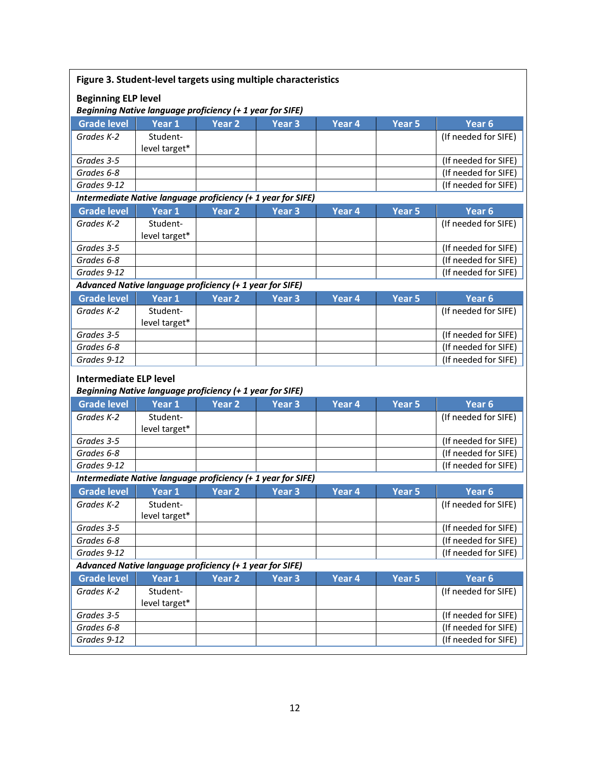| Figure 3. Student-level targets using multiple characteristics |                                                                                                |                   |                   |                   |                   |                      |  |  |
|----------------------------------------------------------------|------------------------------------------------------------------------------------------------|-------------------|-------------------|-------------------|-------------------|----------------------|--|--|
|                                                                | <b>Beginning ELP level</b><br><b>Beginning Native language proficiency (+ 1 year for SIFE)</b> |                   |                   |                   |                   |                      |  |  |
| <b>Grade level</b>                                             | Year <sub>1</sub>                                                                              | Year <sub>2</sub> | Year <sub>3</sub> | Year 4            | Year <sub>5</sub> | Year <sub>6</sub>    |  |  |
| Grades K-2                                                     | Student-                                                                                       |                   |                   |                   |                   | (If needed for SIFE) |  |  |
|                                                                | level target*                                                                                  |                   |                   |                   |                   |                      |  |  |
| Grades 3-5                                                     |                                                                                                |                   |                   |                   |                   | (If needed for SIFE) |  |  |
| Grades 6-8                                                     |                                                                                                |                   |                   |                   |                   | (If needed for SIFE) |  |  |
| Grades 9-12                                                    |                                                                                                |                   |                   |                   |                   | (If needed for SIFE) |  |  |
|                                                                | Intermediate Native language proficiency (+ 1 year for SIFE)                                   |                   |                   |                   |                   |                      |  |  |
| <b>Grade level</b>                                             | Year 1                                                                                         | <b>Year 2</b>     | <b>Year 3</b>     | Year <sub>4</sub> | Year <sub>5</sub> | Year <sub>6</sub>    |  |  |
| Grades K-2                                                     | Student-                                                                                       |                   |                   |                   |                   | (If needed for SIFE) |  |  |
|                                                                | level target*                                                                                  |                   |                   |                   |                   |                      |  |  |
| Grades 3-5                                                     |                                                                                                |                   |                   |                   |                   | (If needed for SIFE) |  |  |
| Grades 6-8                                                     |                                                                                                |                   |                   |                   |                   | (If needed for SIFE) |  |  |
| Grades 9-12                                                    |                                                                                                |                   |                   |                   |                   | (If needed for SIFE) |  |  |
|                                                                | Advanced Native language proficiency (+ 1 year for SIFE)                                       |                   |                   |                   |                   |                      |  |  |
| <b>Grade level</b>                                             | Year 1                                                                                         | Year <sub>2</sub> | Year <sub>3</sub> | Year <sub>4</sub> | Year 5            | Year <sub>6</sub>    |  |  |
| Grades K-2                                                     | Student-                                                                                       |                   |                   |                   |                   | (If needed for SIFE) |  |  |
|                                                                | level target*                                                                                  |                   |                   |                   |                   |                      |  |  |
| Grades 3-5                                                     |                                                                                                |                   |                   |                   |                   | (If needed for SIFE) |  |  |
| Grades 6-8                                                     |                                                                                                |                   |                   |                   |                   | (If needed for SIFE) |  |  |
| Grades 9-12                                                    |                                                                                                |                   |                   |                   |                   | (If needed for SIFE) |  |  |
| <b>Intermediate ELP level</b>                                  |                                                                                                |                   |                   |                   |                   |                      |  |  |
|                                                                | Beginning Native language proficiency (+ 1 year for SIFE)                                      |                   |                   |                   |                   |                      |  |  |
| <b>Grade level</b>                                             | Year 1                                                                                         | <b>Year 2</b>     | <b>Year 3</b>     | Year 4            | <b>Year 5</b>     | Year <sub>6</sub>    |  |  |
| Grades K-2                                                     | Student-                                                                                       |                   |                   |                   |                   | (If needed for SIFE) |  |  |
|                                                                | level target*                                                                                  |                   |                   |                   |                   |                      |  |  |
| Grades 3-5                                                     |                                                                                                |                   |                   |                   |                   | (If needed for SIFE) |  |  |
| Grades 6-8                                                     |                                                                                                |                   |                   |                   |                   | (If needed for SIFE) |  |  |
| Grades 9-12                                                    |                                                                                                |                   |                   |                   |                   | (If needed for SIFE) |  |  |
|                                                                | Intermediate Native language proficiency (+ 1 year for SIFE)                                   |                   |                   |                   |                   |                      |  |  |
| <b>Grade level</b>                                             | Year 1                                                                                         | Year <sub>2</sub> | Year <sub>3</sub> | Year <sub>4</sub> | Year 5            | Year <sub>6</sub>    |  |  |
| Grades K-2                                                     | Student-                                                                                       |                   |                   |                   |                   | (If needed for SIFE) |  |  |
|                                                                | level target*                                                                                  |                   |                   |                   |                   |                      |  |  |
| Grades 3-5                                                     |                                                                                                |                   |                   |                   |                   | (If needed for SIFE) |  |  |
| Grades 6-8                                                     |                                                                                                |                   |                   |                   |                   | (If needed for SIFE) |  |  |
| Grades 9-12                                                    |                                                                                                |                   |                   |                   |                   |                      |  |  |
| Advanced Native language proficiency (+ 1 year for SIFE)       |                                                                                                |                   |                   |                   |                   |                      |  |  |
|                                                                |                                                                                                |                   |                   |                   |                   | (If needed for SIFE) |  |  |
| <b>Grade level</b>                                             | Year 1                                                                                         | Year <sub>2</sub> | Year <sub>3</sub> | Year 4            | Year <sub>5</sub> | Year <sub>6</sub>    |  |  |
| Grades K-2                                                     | Student-                                                                                       |                   |                   |                   |                   | (If needed for SIFE) |  |  |
|                                                                | level target*                                                                                  |                   |                   |                   |                   |                      |  |  |
| Grades 3-5                                                     |                                                                                                |                   |                   |                   |                   | (If needed for SIFE) |  |  |
| Grades 6-8                                                     |                                                                                                |                   |                   |                   |                   | (If needed for SIFE) |  |  |
| Grades 9-12                                                    |                                                                                                |                   |                   |                   |                   | (If needed for SIFE) |  |  |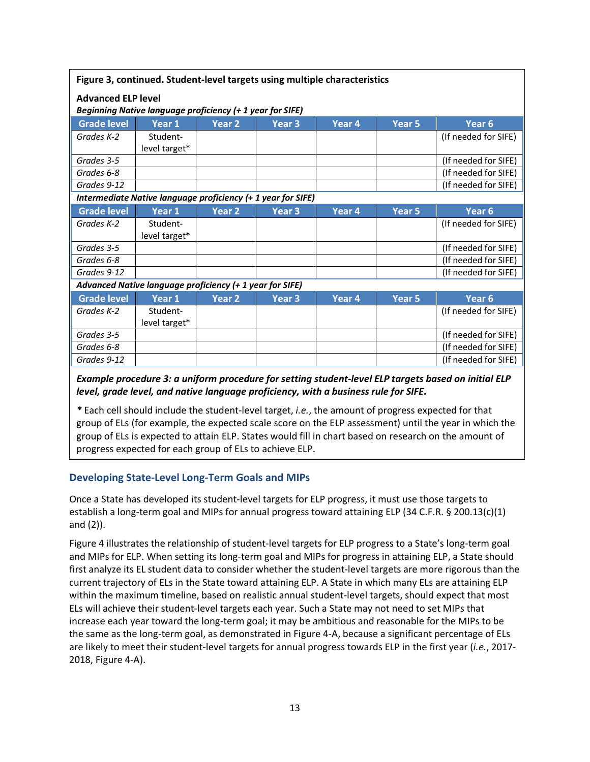| Figure 3, continued. Student-level targets using multiple characteristics |                                                                                        |                   |                   |        |                   |                      |  |  |
|---------------------------------------------------------------------------|----------------------------------------------------------------------------------------|-------------------|-------------------|--------|-------------------|----------------------|--|--|
|                                                                           | <b>Advanced ELP level</b><br>Beginning Native language proficiency (+ 1 year for SIFE) |                   |                   |        |                   |                      |  |  |
| <b>Grade level</b>                                                        | Year 1                                                                                 | Year 2            | Year 3            | Year 4 | Year 5            | Year <sub>6</sub>    |  |  |
| Grades K-2                                                                | Student-<br>level target*                                                              |                   |                   |        |                   | (If needed for SIFE) |  |  |
| Grades 3-5                                                                |                                                                                        |                   |                   |        |                   | (If needed for SIFE) |  |  |
| Grades 6-8                                                                |                                                                                        |                   |                   |        |                   | (If needed for SIFE) |  |  |
| Grades 9-12                                                               |                                                                                        |                   |                   |        |                   | (If needed for SIFE) |  |  |
|                                                                           | Intermediate Native language proficiency (+ 1 year for SIFE)                           |                   |                   |        |                   |                      |  |  |
| <b>Grade level</b>                                                        | Year 1                                                                                 | Year <sub>2</sub> | Year 3            | Year 4 | Year 5            | Year <sub>6</sub>    |  |  |
| Grades K-2                                                                | Student-<br>level target*                                                              |                   |                   |        |                   | (If needed for SIFE) |  |  |
| Grades 3-5                                                                |                                                                                        |                   |                   |        |                   | (If needed for SIFE) |  |  |
| Grades 6-8                                                                |                                                                                        |                   |                   |        |                   | (If needed for SIFE) |  |  |
| Grades 9-12                                                               |                                                                                        |                   |                   |        |                   | (If needed for SIFE) |  |  |
|                                                                           | Advanced Native language proficiency (+ 1 year for SIFE)                               |                   |                   |        |                   |                      |  |  |
| <b>Grade level</b>                                                        | Year <sub>1</sub>                                                                      | Year <sub>2</sub> | Year <sub>3</sub> | Year 4 | Year <sub>5</sub> | Year <sub>6</sub>    |  |  |
| Grades K-2                                                                | Student-<br>level target*                                                              |                   |                   |        |                   | (If needed for SIFE) |  |  |
| Grades 3-5                                                                |                                                                                        |                   |                   |        |                   | (If needed for SIFE) |  |  |
| Grades 6-8                                                                |                                                                                        |                   |                   |        |                   | (If needed for SIFE) |  |  |
| Grades 9-12                                                               |                                                                                        |                   |                   |        |                   | (If needed for SIFE) |  |  |

#### *Example procedure 3: a uniform procedure for setting student-level ELP targets based on initial ELP level, grade level, and native language proficiency, with a business rule for SIFE.*

*\** Each cell should include the student-level target, *i.e.*, the amount of progress expected for that group of ELs (for example, the expected scale score on the ELP assessment) until the year in which the group of ELs is expected to attain ELP. States would fill in chart based on research on the amount of progress expected for each group of ELs to achieve ELP.

#### <span id="page-12-0"></span>**Developing State-Level Long-Term Goals and MIPs**

Once a State has developed its student-level targets for ELP progress, it must use those targets to establish a long-term goal and MIPs for annual progress toward attaining ELP (34 C.F.R. § 200.13(c)(1) and (2)).

Figure 4 illustrates the relationship of student-level targets for ELP progress to a State's long-term goal and MIPs for ELP. When setting its long-term goal and MIPs for progress in attaining ELP, a State should first analyze its EL student data to consider whether the student-level targets are more rigorous than the current trajectory of ELs in the State toward attaining ELP. A State in which many ELs are attaining ELP within the maximum timeline, based on realistic annual student-level targets, should expect that most ELs will achieve their student-level targets each year. Such a State may not need to set MIPs that increase each year toward the long-term goal; it may be ambitious and reasonable for the MIPs to be the same as the long-term goal, as demonstrated in Figure 4-A, because a significant percentage of ELs are likely to meet their student-level targets for annual progress towards ELP in the first year (*i.e.*, 2017- 2018, Figure 4-A).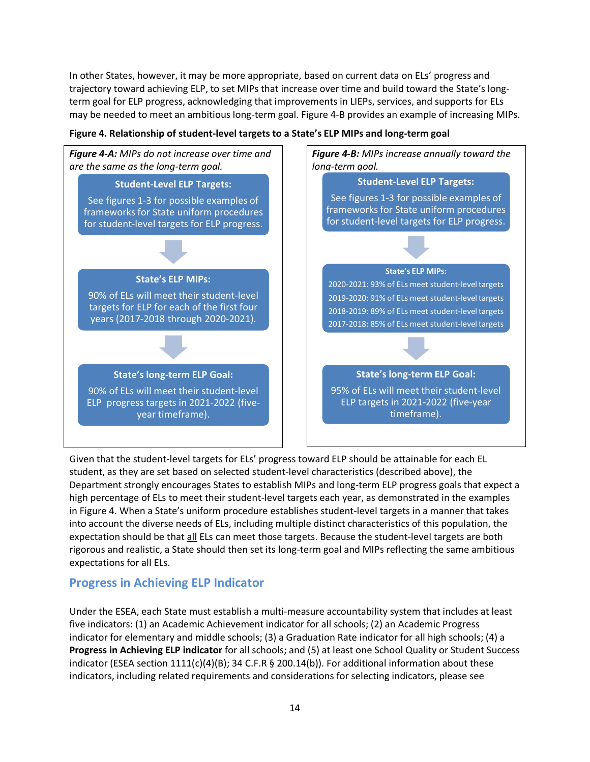In other States, however, it may be more appropriate, based on current data on ELs' progress and trajectory toward achieving ELP, to set MIPs that increase over time and build toward the State's longterm goal for ELP progress, acknowledging that improvements in LIEPs, services, and supports for ELs may be needed to meet an ambitious long-term goal. Figure 4-B provides an example of increasing MIPs.



#### **Figure 4. Relationship of student-level targets to a State's ELP MIPs and long-term goal**

Given that the student-level targets for ELs' progress toward ELP should be attainable for each EL student, as they are set based on selected student-level characteristics (described above), the Department strongly encourages States to establish MIPs and long-term ELP progress goals that expect a high percentage of ELs to meet their student-level targets each year, as demonstrated in the examples in Figure 4. When a State's uniform procedure establishes student-level targets in a manner that takes into account the diverse needs of ELs, including multiple distinct characteristics of this population, the expectation should be that all ELs can meet those targets. Because the student-level targets are both rigorous and realistic, a State should then set its long-term goal and MIPs reflecting the same ambitious expectations for all ELs.

#### <span id="page-13-0"></span>**Progress in Achieving ELP Indicator**

Under the ESEA, each State must establish a multi-measure accountability system that includes at least five indicators: (1) an Academic Achievement indicator for all schools; (2) an Academic Progress indicator for elementary and middle schools; (3) a Graduation Rate indicator for all high schools; (4) a **Progress in Achieving ELP indicator** for all schools; and (5) at least one School Quality or Student Success indicator (ESEA section  $1111(c)(4)(B)$ ; 34 C.F.R § 200.14(b)). For additional information about these indicators, including related requirements and considerations for selecting indicators, please see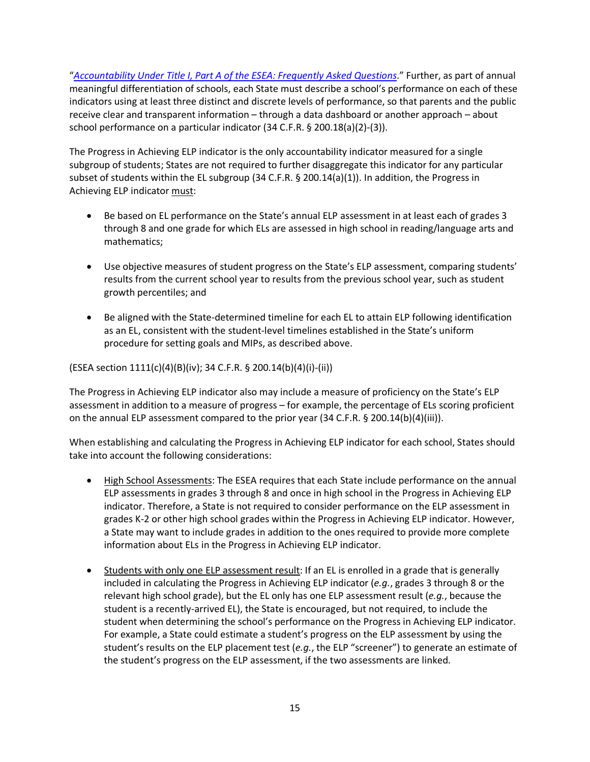"*[Accountability Under Title I, Part A of the ESEA: Frequently Asked Questions](http://www2.ed.gov/programs/titleiparta/eseatitleiaccountabilityfaqs.docx)*." Further, as part of annual meaningful differentiation of schools, each State must describe a school's performance on each of these indicators using at least three distinct and discrete levels of performance, so that parents and the public receive clear and transparent information – through a data dashboard or another approach – about school performance on a particular indicator (34 C.F.R. § 200.18(a)(2)-(3)).

The Progress in Achieving ELP indicator is the only accountability indicator measured for a single subgroup of students; States are not required to further disaggregate this indicator for any particular subset of students within the EL subgroup (34 C.F.R. § 200.14(a)(1)). In addition, the Progress in Achieving ELP indicator must:

- Be based on EL performance on the State's annual ELP assessment in at least each of grades 3 through 8 and one grade for which ELs are assessed in high school in reading/language arts and mathematics;
- Use objective measures of student progress on the State's ELP assessment, comparing students' results from the current school year to results from the previous school year, such as student growth percentiles; and
- Be aligned with the State-determined timeline for each EL to attain ELP following identification as an EL, consistent with the student-level timelines established in the State's uniform procedure for setting goals and MIPs, as described above.

(ESEA section 1111(c)(4)(B)(iv); 34 C.F.R. § 200.14(b)(4)(i)-(ii))

The Progress in Achieving ELP indicator also may include a measure of proficiency on the State's ELP assessment in addition to a measure of progress – for example, the percentage of ELs scoring proficient on the annual ELP assessment compared to the prior year (34 C.F.R. § 200.14(b)(4)(iii)).

When establishing and calculating the Progress in Achieving ELP indicator for each school, States should take into account the following considerations:

- High School Assessments: The ESEA requires that each State include performance on the annual ELP assessments in grades 3 through 8 and once in high school in the Progress in Achieving ELP indicator. Therefore, a State is not required to consider performance on the ELP assessment in grades K-2 or other high school grades within the Progress in Achieving ELP indicator. However, a State may want to include grades in addition to the ones required to provide more complete information about ELs in the Progress in Achieving ELP indicator.
- Students with only one ELP assessment result: If an EL is enrolled in a grade that is generally included in calculating the Progress in Achieving ELP indicator (*e.g.*, grades 3 through 8 or the relevant high school grade), but the EL only has one ELP assessment result (*e.g.*, because the student is a recently-arrived EL), the State is encouraged, but not required, to include the student when determining the school's performance on the Progress in Achieving ELP indicator. For example, a State could estimate a student's progress on the ELP assessment by using the student's results on the ELP placement test (*e.g.*, the ELP "screener") to generate an estimate of the student's progress on the ELP assessment, if the two assessments are linked.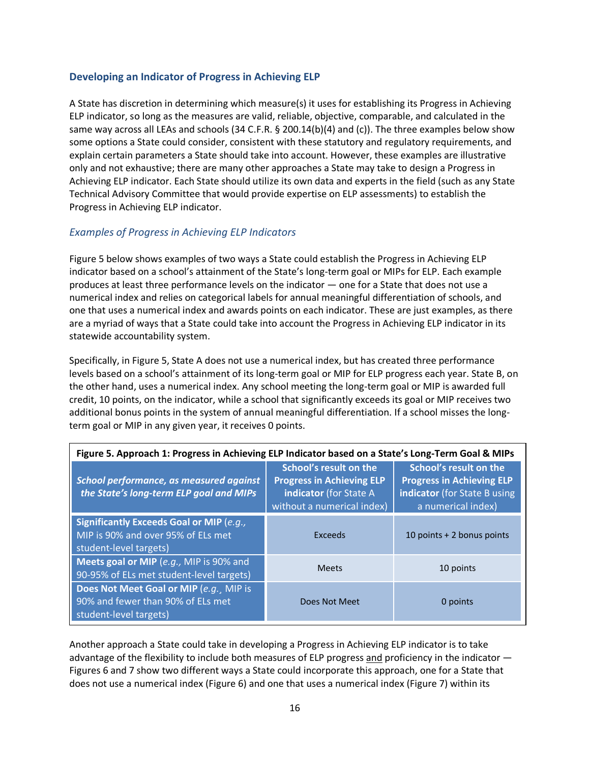#### <span id="page-15-0"></span>**Developing an Indicator of Progress in Achieving ELP**

A State has discretion in determining which measure(s) it uses for establishing its Progress in Achieving ELP indicator, so long as the measures are valid, reliable, objective, comparable, and calculated in the same way across all LEAs and schools (34 C.F.R. § 200.14(b)(4) and (c)). The three examples below show some options a State could consider, consistent with these statutory and regulatory requirements, and explain certain parameters a State should take into account. However, these examples are illustrative only and not exhaustive; there are many other approaches a State may take to design a Progress in Achieving ELP indicator. Each State should utilize its own data and experts in the field (such as any State Technical Advisory Committee that would provide expertise on ELP assessments) to establish the Progress in Achieving ELP indicator.

#### <span id="page-15-1"></span>*Examples of Progress in Achieving ELP Indicators*

Figure 5 below shows examples of two ways a State could establish the Progress in Achieving ELP indicator based on a school's attainment of the State's long-term goal or MIPs for ELP. Each example produces at least three performance levels on the indicator — one for a State that does not use a numerical index and relies on categorical labels for annual meaningful differentiation of schools, and one that uses a numerical index and awards points on each indicator. These are just examples, as there are a myriad of ways that a State could take into account the Progress in Achieving ELP indicator in its statewide accountability system.

Specifically, in Figure 5, State A does not use a numerical index, but has created three performance levels based on a school's attainment of its long-term goal or MIP for ELP progress each year. State B, on the other hand, uses a numerical index. Any school meeting the long-term goal or MIP is awarded full credit, 10 points, on the indicator, while a school that significantly exceeds its goal or MIP receives two additional bonus points in the system of annual meaningful differentiation. If a school misses the longterm goal or MIP in any given year, it receives 0 points.

| Figure 5. Approach 1: Progress in Achieving ELP Indicator based on a State's Long-Term Goal & MIPs              |                                                                                                                           |                                                                                                                  |  |  |
|-----------------------------------------------------------------------------------------------------------------|---------------------------------------------------------------------------------------------------------------------------|------------------------------------------------------------------------------------------------------------------|--|--|
| School performance, as measured against<br>the State's long-term ELP goal and MIPs                              | School's result on the<br><b>Progress in Achieving ELP</b><br><b>indicator</b> (for State A<br>without a numerical index) | School's result on the<br><b>Progress in Achieving ELP</b><br>indicator (for State B using<br>a numerical index) |  |  |
| <b>Significantly Exceeds Goal or MIP (e.g.,</b><br>MIP is 90% and over 95% of ELs met<br>student-level targets) | Exceeds                                                                                                                   | 10 points + 2 bonus points                                                                                       |  |  |
| Meets goal or MIP (e.g., MIP is 90% and<br>90-95% of ELs met student-level targets)                             | <b>Meets</b>                                                                                                              | 10 points                                                                                                        |  |  |
| Does Not Meet Goal or MIP (e.g., MIP is<br>90% and fewer than 90% of ELs met<br>student-level targets)          | Does Not Meet                                                                                                             | 0 points                                                                                                         |  |  |

Another approach a State could take in developing a Progress in Achieving ELP indicator is to take advantage of the flexibility to include both measures of ELP progress and proficiency in the indicator — Figures 6 and 7 show two different ways a State could incorporate this approach, one for a State that does not use a numerical index (Figure 6) and one that uses a numerical index (Figure 7) within its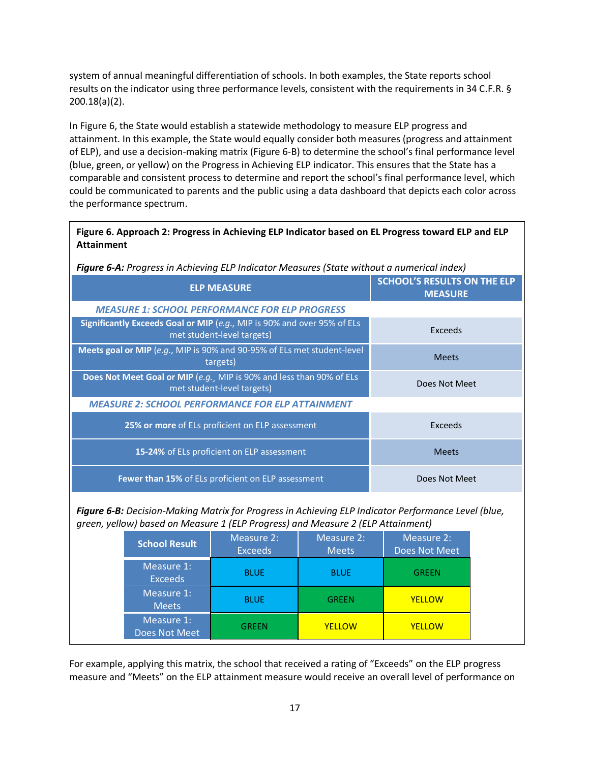system of annual meaningful differentiation of schools. In both examples, the State reports school results on the indicator using three performance levels, consistent with the requirements in 34 C.F.R. § 200.18(a)(2).

In Figure 6, the State would establish a statewide methodology to measure ELP progress and attainment. In this example, the State would equally consider both measures (progress and attainment of ELP), and use a decision-making matrix (Figure 6-B) to determine the school's final performance level (blue, green, or yellow) on the Progress in Achieving ELP indicator. This ensures that the State has a comparable and consistent process to determine and report the school's final performance level, which could be communicated to parents and the public using a data dashboard that depicts each color across the performance spectrum.

| Figure 6. Approach 2: Progress in Achieving ELP Indicator based on EL Progress toward ELP and ELP |
|---------------------------------------------------------------------------------------------------|
| Attainment                                                                                        |

*Figure 6-A: Progress in Achieving ELP Indicator Measures (State without a numerical index)*

| <b>ELP MEASURE</b>                                                                                    | <b>SCHOOL'S RESULTS ON THE ELP</b><br><b>MEASURE</b> |
|-------------------------------------------------------------------------------------------------------|------------------------------------------------------|
| <b>MEASURE 1: SCHOOL PERFORMANCE FOR ELP PROGRESS</b>                                                 |                                                      |
| Significantly Exceeds Goal or MIP (e.g., MIP is 90% and over 95% of ELs<br>met student-level targets) | Exceeds                                              |
| Meets goal or MIP (e.g., MIP is 90% and 90-95% of ELs met student-level<br>targets)                   | <b>Meets</b>                                         |
| Does Not Meet Goal or MIP (e.g., MIP is 90% and less than 90% of ELs<br>met student-level targets)    | Does Not Meet                                        |
| <b>MEASURE 2: SCHOOL PERFORMANCE FOR ELP ATTAINMENT</b>                                               |                                                      |
| 25% or more of ELs proficient on ELP assessment                                                       | Exceeds                                              |
| 15-24% of ELs proficient on ELP assessment                                                            | <b>Meets</b>                                         |
| <b>Fewer than 15%</b> of ELs proficient on ELP assessment                                             | Does Not Meet                                        |

*Figure 6-B: Decision-Making Matrix for Progress in Achieving ELP Indicator Performance Level (blue, green, yellow) based on Measure 1 (ELP Progress) and Measure 2 (ELP Attainment)*

| <b>School Result</b>         | Measure 2:<br><b>Exceeds</b> | Measure 2:<br><b>Meets</b> | Measure 2:<br>Does Not Meet |
|------------------------------|------------------------------|----------------------------|-----------------------------|
| Measure 1:<br><b>Exceeds</b> | <b>BLUE</b>                  | <b>BLUE</b>                | <b>GREEN</b>                |
| Measure 1:<br><b>Meets</b>   | <b>BLUE</b>                  | <b>GREEN</b>               | <b>YELLOW</b>               |
| Measure 1:<br>Does Not Meet  | <b>GREEN</b>                 | <b>YELLOW</b>              | <b>YELLOW</b>               |

For example, applying this matrix, the school that received a rating of "Exceeds" on the ELP progress measure and "Meets" on the ELP attainment measure would receive an overall level of performance on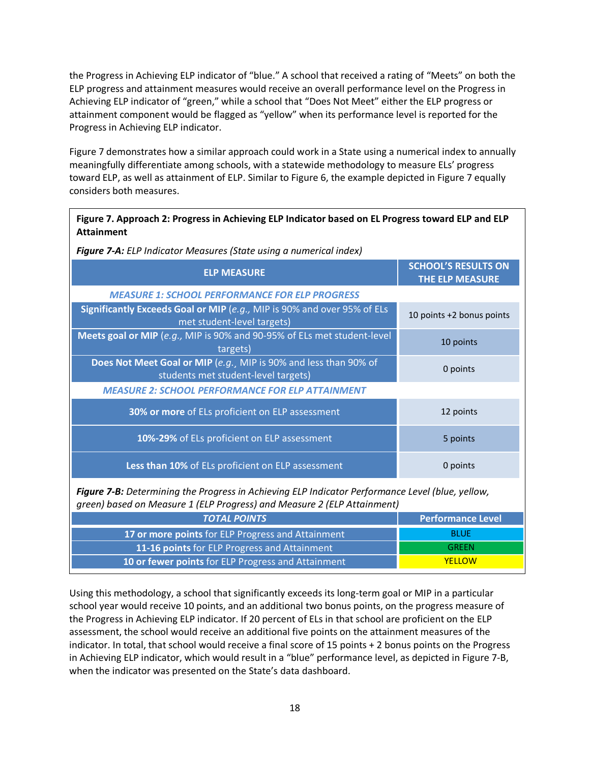the Progress in Achieving ELP indicator of "blue." A school that received a rating of "Meets" on both the ELP progress and attainment measures would receive an overall performance level on the Progress in Achieving ELP indicator of "green," while a school that "Does Not Meet" either the ELP progress or attainment component would be flagged as "yellow" when its performance level is reported for the Progress in Achieving ELP indicator.

Figure 7 demonstrates how a similar approach could work in a State using a numerical index to annually meaningfully differentiate among schools, with a statewide methodology to measure ELs' progress toward ELP, as well as attainment of ELP. Similar to Figure 6, the example depicted in Figure 7 equally considers both measures.

| Figure 7. Approach 2: Progress in Achieving ELP Indicator based on EL Progress toward ELP and ELP<br><b>Attainment</b> |                                                      |  |  |
|------------------------------------------------------------------------------------------------------------------------|------------------------------------------------------|--|--|
| <b>Figure 7-A:</b> ELP Indicator Measures (State using a numerical index)                                              |                                                      |  |  |
| <b>ELP MEASURE</b>                                                                                                     | <b>SCHOOL'S RESULTS ON</b><br><b>THE ELP MEASURE</b> |  |  |
| <b>MEASURE 1: SCHOOL PERFORMANCE FOR ELP PROGRESS</b>                                                                  |                                                      |  |  |
| Significantly Exceeds Goal or MIP (e.g., MIP is 90% and over 95% of ELs<br>met student-level targets)                  | 10 points +2 bonus points                            |  |  |
| Meets goal or MIP (e.g., MIP is 90% and 90-95% of ELs met student-level<br>targets)                                    | 10 points                                            |  |  |
| Does Not Meet Goal or MIP (e.g., MIP is 90% and less than 90% of<br>students met student-level targets)                | 0 points                                             |  |  |
| <b>MEASURE 2: SCHOOL PERFORMANCE FOR ELP ATTAINMENT</b>                                                                |                                                      |  |  |
| 30% or more of ELs proficient on ELP assessment                                                                        | 12 points                                            |  |  |
| 10%-29% of ELs proficient on ELP assessment                                                                            | 5 points                                             |  |  |
| Less than 10% of ELs proficient on ELP assessment                                                                      | 0 points                                             |  |  |

*Figure 7-B: Determining the Progress in Achieving ELP Indicator Performance Level (blue, yellow, green) based on Measure 1 (ELP Progress) and Measure 2 (ELP Attainment)*

| <b>TOTAL POINTS</b>                                | <b>Performance Level</b> |
|----------------------------------------------------|--------------------------|
| 17 or more points for ELP Progress and Attainment  | <b>BLUF</b>              |
| 11-16 points for ELP Progress and Attainment       | <b>GRFFN</b>             |
| 10 or fewer points for ELP Progress and Attainment | <b>YFLLOW</b>            |

Using this methodology, a school that significantly exceeds its long-term goal or MIP in a particular school year would receive 10 points, and an additional two bonus points, on the progress measure of the Progress in Achieving ELP indicator. If 20 percent of ELs in that school are proficient on the ELP assessment, the school would receive an additional five points on the attainment measures of the indicator. In total, that school would receive a final score of 15 points + 2 bonus points on the Progress in Achieving ELP indicator, which would result in a "blue" performance level, as depicted in Figure 7-B, when the indicator was presented on the State's data dashboard.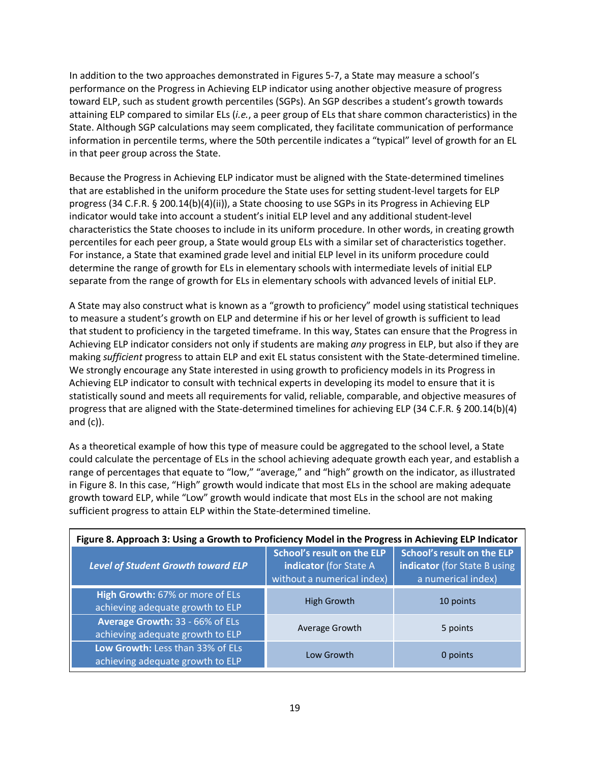In addition to the two approaches demonstrated in Figures 5-7, a State may measure a school's performance on the Progress in Achieving ELP indicator using another objective measure of progress toward ELP, such as student growth percentiles (SGPs). An SGP describes a student's growth towards attaining ELP compared to similar ELs (*i.e.*, a peer group of ELs that share common characteristics) in the State. Although SGP calculations may seem complicated, they facilitate communication of performance information in percentile terms, where the 50th percentile indicates a "typical" level of growth for an EL in that peer group across the State.

Because the Progress in Achieving ELP indicator must be aligned with the State-determined timelines that are established in the uniform procedure the State uses for setting student-level targets for ELP progress (34 C.F.R. § 200.14(b)(4)(ii)), a State choosing to use SGPs in its Progress in Achieving ELP indicator would take into account a student's initial ELP level and any additional student-level characteristics the State chooses to include in its uniform procedure. In other words, in creating growth percentiles for each peer group, a State would group ELs with a similar set of characteristics together. For instance, a State that examined grade level and initial ELP level in its uniform procedure could determine the range of growth for ELs in elementary schools with intermediate levels of initial ELP separate from the range of growth for ELs in elementary schools with advanced levels of initial ELP.

A State may also construct what is known as a "growth to proficiency" model using statistical techniques to measure a student's growth on ELP and determine if his or her level of growth is sufficient to lead that student to proficiency in the targeted timeframe. In this way, States can ensure that the Progress in Achieving ELP indicator considers not only if students are making *any* progress in ELP, but also if they are making *sufficient* progress to attain ELP and exit EL status consistent with the State-determined timeline. We strongly encourage any State interested in using growth to proficiency models in its Progress in Achieving ELP indicator to consult with technical experts in developing its model to ensure that it is statistically sound and meets all requirements for valid, reliable, comparable, and objective measures of progress that are aligned with the State-determined timelines for achieving ELP (34 C.F.R. § 200.14(b)(4) and (c)).

As a theoretical example of how this type of measure could be aggregated to the school level, a State could calculate the percentage of ELs in the school achieving adequate growth each year, and establish a range of percentages that equate to "low," "average," and "high" growth on the indicator, as illustrated in Figure 8. In this case, "High" growth would indicate that most ELs in the school are making adequate growth toward ELP, while "Low" growth would indicate that most ELs in the school are not making sufficient progress to attain ELP within the State-determined timeline.

| Figure 8. Approach 3: Using a Growth to Proficiency Model in the Progress in Achieving ELP Indicator |                                                                                           |                                                                                  |  |  |  |
|------------------------------------------------------------------------------------------------------|-------------------------------------------------------------------------------------------|----------------------------------------------------------------------------------|--|--|--|
| Level of Student Growth toward ELP                                                                   | <b>School's result on the ELP</b><br>indicator (for State A<br>without a numerical index) | School's result on the ELP<br>indicator (for State B using<br>a numerical index) |  |  |  |
| High Growth: 67% or more of ELs<br>achieving adequate growth to ELP                                  | High Growth                                                                               | 10 points                                                                        |  |  |  |
| Average Growth: 33 - 66% of ELs<br>achieving adequate growth to ELP                                  | Average Growth                                                                            | 5 points                                                                         |  |  |  |
| Low Growth: Less than 33% of ELs<br>achieving adequate growth to ELP                                 | Low Growth                                                                                | 0 points                                                                         |  |  |  |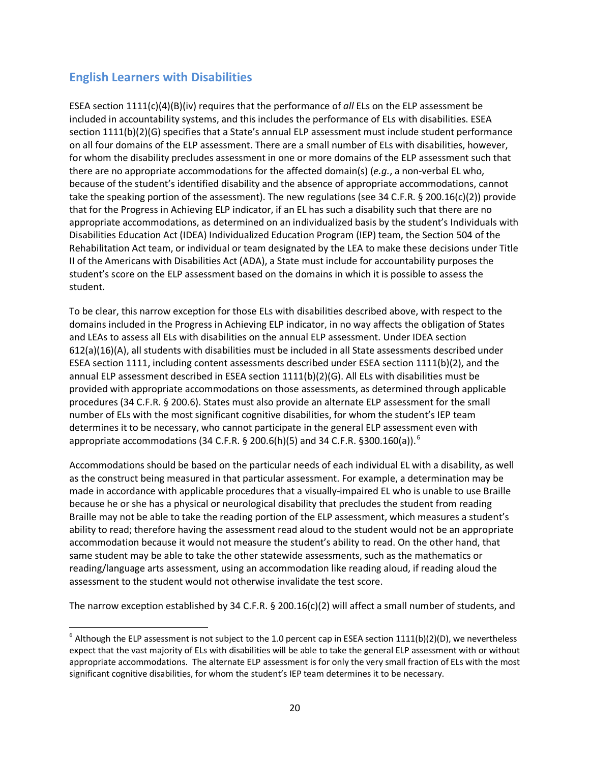#### <span id="page-19-0"></span>**English Learners with Disabilities**

ESEA section 1111(c)(4)(B)(iv) requires that the performance of *all* ELs on the ELP assessment be included in accountability systems, and this includes the performance of ELs with disabilities. ESEA section 1111(b)(2)(G) specifies that a State's annual ELP assessment must include student performance on all four domains of the ELP assessment. There are a small number of ELs with disabilities, however, for whom the disability precludes assessment in one or more domains of the ELP assessment such that there are no appropriate accommodations for the affected domain(s) (*e.g.*, a non-verbal EL who, because of the student's identified disability and the absence of appropriate accommodations, cannot take the speaking portion of the assessment). The new regulations (see 34 C.F.R. § 200.16(c)(2)) provide that for the Progress in Achieving ELP indicator, if an EL has such a disability such that there are no appropriate accommodations, as determined on an individualized basis by the student's Individuals with Disabilities Education Act (IDEA) Individualized Education Program (IEP) team, the Section 504 of the Rehabilitation Act team, or individual or team designated by the LEA to make these decisions under Title II of the Americans with Disabilities Act (ADA), a State must include for accountability purposes the student's score on the ELP assessment based on the domains in which it is possible to assess the student.

To be clear, this narrow exception for those ELs with disabilities described above, with respect to the domains included in the Progress in Achieving ELP indicator, in no way affects the obligation of States and LEAs to assess all ELs with disabilities on the annual ELP assessment. Under IDEA section 612(a)(16)(A), all students with disabilities must be included in all State assessments described under ESEA section 1111, including content assessments described under ESEA section 1111(b)(2), and the annual ELP assessment described in ESEA section 1111(b)(2)(G). All ELs with disabilities must be provided with appropriate accommodations on those assessments, as determined through applicable procedures (34 C.F.R. § 200.6). States must also provide an alternate ELP assessment for the small number of ELs with the most significant cognitive disabilities, for whom the student's IEP team determines it to be necessary, who cannot participate in the general ELP assessment even with appropriate accommodations (34 C.F.R. § 200.[6](#page-19-1)(h)(5) and 34 C.F.R. §300.160(a)).<sup>6</sup>

Accommodations should be based on the particular needs of each individual EL with a disability, as well as the construct being measured in that particular assessment. For example, a determination may be made in accordance with applicable procedures that a visually-impaired EL who is unable to use Braille because he or she has a physical or neurological disability that precludes the student from reading Braille may not be able to take the reading portion of the ELP assessment, which measures a student's ability to read; therefore having the assessment read aloud to the student would not be an appropriate accommodation because it would not measure the student's ability to read. On the other hand, that same student may be able to take the other statewide assessments, such as the mathematics or reading/language arts assessment, using an accommodation like reading aloud, if reading aloud the assessment to the student would not otherwise invalidate the test score.

The narrow exception established by 34 C.F.R. § 200.16(c)(2) will affect a small number of students, and

<span id="page-19-1"></span> $^6$  Although the ELP assessment is not subject to the 1.0 percent cap in ESEA section 1111(b)(2)(D), we nevertheless expect that the vast majority of ELs with disabilities will be able to take the general ELP assessment with or without appropriate accommodations. The alternate ELP assessment is for only the very small fraction of ELs with the most significant cognitive disabilities, for whom the student's IEP team determines it to be necessary.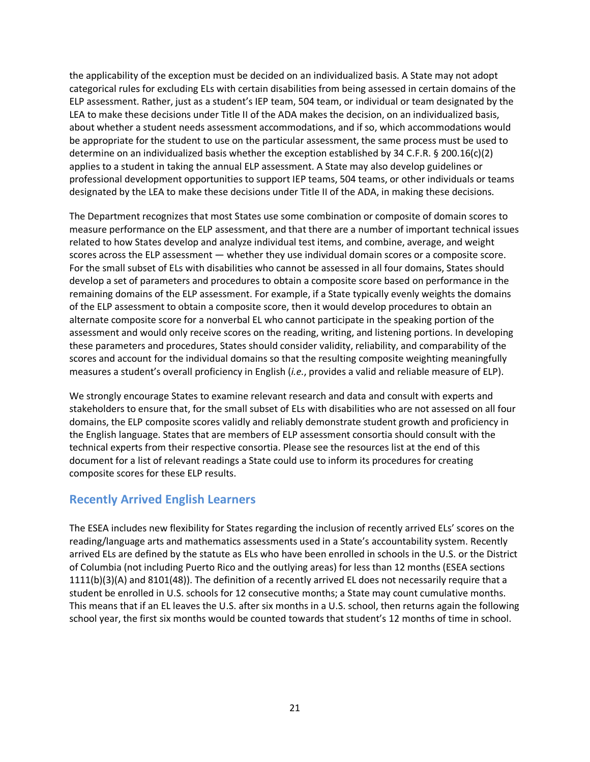the applicability of the exception must be decided on an individualized basis. A State may not adopt categorical rules for excluding ELs with certain disabilities from being assessed in certain domains of the ELP assessment. Rather, just as a student's IEP team, 504 team, or individual or team designated by the LEA to make these decisions under Title II of the ADA makes the decision, on an individualized basis, about whether a student needs assessment accommodations, and if so, which accommodations would be appropriate for the student to use on the particular assessment, the same process must be used to determine on an individualized basis whether the exception established by 34 C.F.R. § 200.16(c)(2) applies to a student in taking the annual ELP assessment. A State may also develop guidelines or professional development opportunities to support IEP teams, 504 teams, or other individuals or teams designated by the LEA to make these decisions under Title II of the ADA, in making these decisions.

The Department recognizes that most States use some combination or composite of domain scores to measure performance on the ELP assessment, and that there are a number of important technical issues related to how States develop and analyze individual test items, and combine, average, and weight scores across the ELP assessment — whether they use individual domain scores or a composite score. For the small subset of ELs with disabilities who cannot be assessed in all four domains, States should develop a set of parameters and procedures to obtain a composite score based on performance in the remaining domains of the ELP assessment. For example, if a State typically evenly weights the domains of the ELP assessment to obtain a composite score, then it would develop procedures to obtain an alternate composite score for a nonverbal EL who cannot participate in the speaking portion of the assessment and would only receive scores on the reading, writing, and listening portions. In developing these parameters and procedures, States should consider validity, reliability, and comparability of the scores and account for the individual domains so that the resulting composite weighting meaningfully measures a student's overall proficiency in English (*i.e.*, provides a valid and reliable measure of ELP).

We strongly encourage States to examine relevant research and data and consult with experts and stakeholders to ensure that, for the small subset of ELs with disabilities who are not assessed on all four domains, the ELP composite scores validly and reliably demonstrate student growth and proficiency in the English language. States that are members of ELP assessment consortia should consult with the technical experts from their respective consortia. Please see the resources list at the end of this document for a list of relevant readings a State could use to inform its procedures for creating composite scores for these ELP results.

#### <span id="page-20-0"></span>**Recently Arrived English Learners**

The ESEA includes new flexibility for States regarding the inclusion of recently arrived ELs' scores on the reading/language arts and mathematics assessments used in a State's accountability system. Recently arrived ELs are defined by the statute as ELs who have been enrolled in schools in the U.S. or the District of Columbia (not including Puerto Rico and the outlying areas) for less than 12 months (ESEA sections 1111(b)(3)(A) and 8101(48)). The definition of a recently arrived EL does not necessarily require that a student be enrolled in U.S. schools for 12 consecutive months; a State may count cumulative months. This means that if an EL leaves the U.S. after six months in a U.S. school, then returns again the following school year, the first six months would be counted towards that student's 12 months of time in school.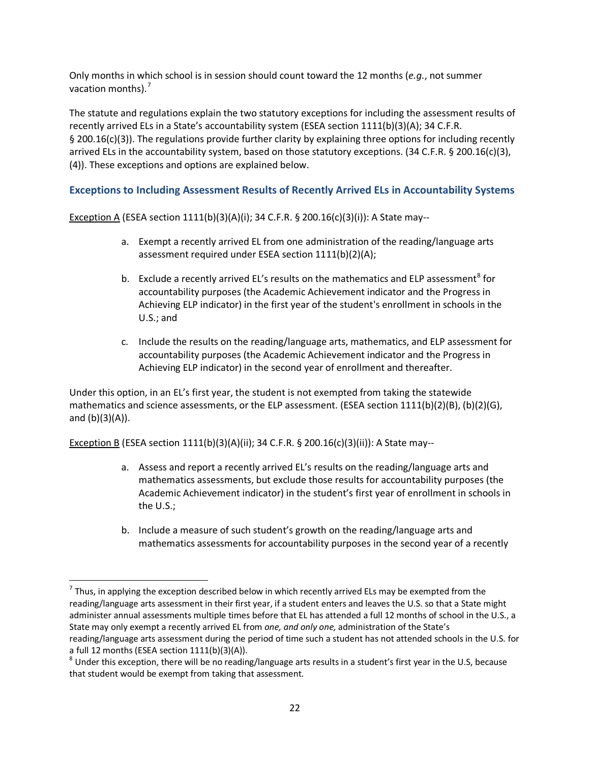Only months in which school is in session should count toward the 12 months (*e.g.*, not summer vacation months).<sup>[7](#page-21-1)</sup>

The statute and regulations explain the two statutory exceptions for including the assessment results of recently arrived ELs in a State's accountability system (ESEA section 1111(b)(3)(A); 34 C.F.R. § 200.16(c)(3)). The regulations provide further clarity by explaining three options for including recently arrived ELs in the accountability system, based on those statutory exceptions. (34 C.F.R. § 200.16(c)(3), (4)). These exceptions and options are explained below.

#### <span id="page-21-0"></span>**Exceptions to Including Assessment Results of Recently Arrived ELs in Accountability Systems**

**Exception A** (ESEA section 1111(b)(3)(A)(i); 34 C.F.R. § 200.16(c)(3)(i)): A State may--

- a. Exempt a recently arrived EL from one administration of the reading/language arts assessment required under ESEA section 1111(b)(2)(A);
- b. Exclude a recently arrived EL's results on the mathematics and ELP assessment<sup>[8](#page-21-2)</sup> for accountability purposes (the Academic Achievement indicator and the Progress in Achieving ELP indicator) in the first year of the student's enrollment in schools in the U.S.; and
- c. Include the results on the reading/language arts, mathematics, and ELP assessment for accountability purposes (the Academic Achievement indicator and the Progress in Achieving ELP indicator) in the second year of enrollment and thereafter.

Under this option, in an EL's first year, the student is not exempted from taking the statewide mathematics and science assessments, or the ELP assessment. (ESEA section 1111(b)(2)(B), (b)(2)(G), and  $(b)(3)(A)$ ).

Exception B (ESEA section 1111(b)(3)(A)(ii); 34 C.F.R. § 200.16(c)(3)(ii)): A State may--

- a. Assess and report a recently arrived EL's results on the reading/language arts and mathematics assessments, but exclude those results for accountability purposes (the Academic Achievement indicator) in the student's first year of enrollment in schools in the U.S.;
- b. Include a measure of such student's growth on the reading/language arts and mathematics assessments for accountability purposes in the second year of a recently

<span id="page-21-1"></span> $<sup>7</sup>$  Thus, in applying the exception described below in which recently arrived ELs may be exempted from the</sup> reading/language arts assessment in their first year, if a student enters and leaves the U.S. so that a State might administer annual assessments multiple times before that EL has attended a full 12 months of school in the U.S., a State may only exempt a recently arrived EL from *one, and only one,* administration of the State's reading/language arts assessment during the period of time such a student has not attended schools in the U.S. for

<span id="page-21-2"></span>a full 12 months (ESEA section 1111(b)(3)(A)).<br><sup>8</sup> Under this exception, there will be no reading/language arts results in a student's first year in the U.S, because that student would be exempt from taking that assessment.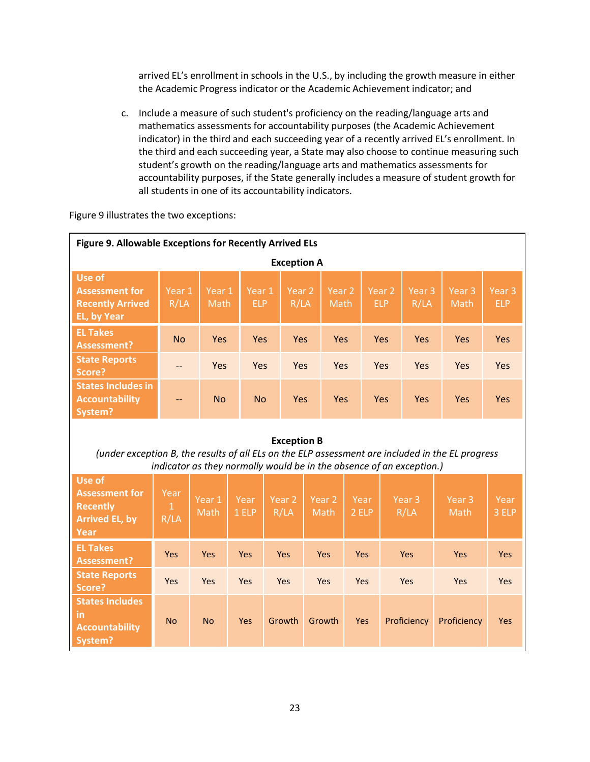arrived EL's enrollment in schools in the U.S., by including the growth measure in either the Academic Progress indicator or the Academic Achievement indicator; and

c. Include a measure of such student's proficiency on the reading/language arts and mathematics assessments for accountability purposes (the Academic Achievement indicator) in the third and each succeeding year of a recently arrived EL's enrollment. In the third and each succeeding year, a State may also choose to continue measuring such student's growth on the reading/language arts and mathematics assessments for accountability purposes, if the State generally includes a measure of student growth for all students in one of its accountability indicators.

Figure 9 illustrates the two exceptions:

| Figure 9. Allowable Exceptions for Recently Arrived ELs                                                                                                                                        |                              |                           |                      |                           |                           |                           |                                 |                           |                           |                                 |
|------------------------------------------------------------------------------------------------------------------------------------------------------------------------------------------------|------------------------------|---------------------------|----------------------|---------------------------|---------------------------|---------------------------|---------------------------------|---------------------------|---------------------------|---------------------------------|
| <b>Exception A</b>                                                                                                                                                                             |                              |                           |                      |                           |                           |                           |                                 |                           |                           |                                 |
| <b>Use of</b><br><b>Assessment for</b><br><b>Recently Arrived</b><br>EL, by Year                                                                                                               | Year 1<br>R/LA               | Year 1<br>Math            | Year 1<br><b>ELP</b> | Year <sub>2</sub><br>R/LA |                           | Year <sub>2</sub><br>Math | Year <sub>2</sub><br><b>ELP</b> | Year <sub>3</sub><br>R/LA | Year <sub>3</sub><br>Math | Year <sub>3</sub><br><b>ELP</b> |
| <b>EL Takes</b><br><b>Assessment?</b>                                                                                                                                                          | <b>No</b>                    | Yes                       | <b>Yes</b>           | Yes                       |                           | Yes                       | Yes                             | Yes                       | Yes                       | <b>Yes</b>                      |
| <b>State Reports</b><br>Score?                                                                                                                                                                 |                              | Yes                       | Yes                  | <b>Yes</b>                |                           | Yes                       | Yes                             | <b>Yes</b>                | Yes                       | Yes                             |
| <b>States Includes in</b><br><b>Accountability</b><br>System?                                                                                                                                  | --                           | <b>No</b>                 | <b>No</b>            | <b>Yes</b>                |                           | <b>Yes</b>                | <b>Yes</b>                      | <b>Yes</b>                | Yes                       | <b>Yes</b>                      |
| <b>Exception B</b><br>(under exception B, the results of all ELs on the ELP assessment are included in the EL progress<br>indicator as they normally would be in the absence of an exception.) |                              |                           |                      |                           |                           |                           |                                 |                           |                           |                                 |
| <b>Use of</b><br><b>Assessment for</b><br><b>Recently</b><br><b>Arrived EL, by</b><br>Year                                                                                                     | Year<br>$\mathbf{1}$<br>R/LA | Year <sub>1</sub><br>Math | Year<br>1 ELP        | Year <sub>2</sub><br>R/LA | Year <sub>2</sub><br>Math | Year<br>2 ELP             |                                 | Year <sub>3</sub><br>R/LA | Year <sub>3</sub><br>Math | Year<br>3 ELP                   |
| <b>EL Takes</b><br><b>Assessment?</b>                                                                                                                                                          | Yes                          | <b>Yes</b>                | Yes                  | Yes                       | <b>Yes</b>                | Yes                       |                                 | <b>Yes</b>                | Yes                       | <b>Yes</b>                      |
| <b>State Reports</b><br>Score?                                                                                                                                                                 | Yes                          | Yes                       | Yes                  | Yes                       | Yes                       | Yes                       |                                 | Yes                       | Yes                       | Yes                             |
| <b>States Includes</b><br><b>in</b><br><b>Accountability</b><br>System?                                                                                                                        | <b>No</b>                    | <b>No</b>                 | Yes                  | Growth                    | Growth                    | <b>Yes</b>                |                                 | Proficiency               | Proficiency               | Yes                             |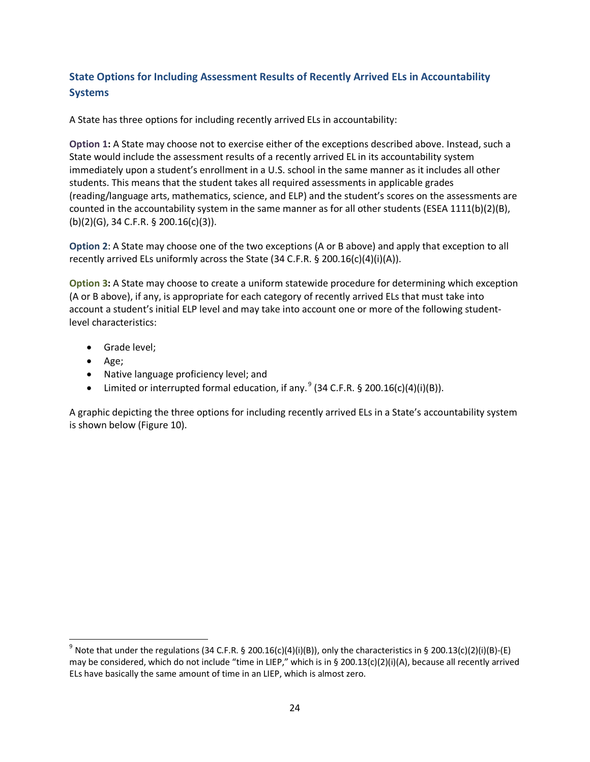#### <span id="page-23-0"></span>**State Options for Including Assessment Results of Recently Arrived ELs in Accountability Systems**

A State has three options for including recently arrived ELs in accountability:

**Option 1:** A State may choose not to exercise either of the exceptions described above. Instead, such a State would include the assessment results of a recently arrived EL in its accountability system immediately upon a student's enrollment in a U.S. school in the same manner as it includes all other students. This means that the student takes all required assessments in applicable grades (reading/language arts, mathematics, science, and ELP) and the student's scores on the assessments are counted in the accountability system in the same manner as for all other students (ESEA 1111(b)(2)(B), (b)(2)(G), 34 C.F.R. § 200.16(c)(3)).

**Option 2**: A State may choose one of the two exceptions (A or B above) and apply that exception to all recently arrived ELs uniformly across the State (34 C.F.R. § 200.16(c)(4)(i)(A)).

**Option 3:** A State may choose to create a uniform statewide procedure for determining which exception (A or B above), if any, is appropriate for each category of recently arrived ELs that must take into account a student's initial ELP level and may take into account one or more of the following studentlevel characteristics:

- Grade level;
- Age;
- Native language proficiency level; and
- Limited or interrupted formal education, if any.  $9(34 \text{ C.F.R. } \frac{6}{5} \cdot 200.16 \text{ (c)}(4) \text{ (i)}(B))$  $9(34 \text{ C.F.R. } \frac{6}{5} \cdot 200.16 \text{ (c)}(4) \text{ (i)}(B))$ .

A graphic depicting the three options for including recently arrived ELs in a State's accountability system is shown below (Figure 10).

<span id="page-23-1"></span><sup>&</sup>lt;sup>9</sup> Note that under the regulations (34 C.F.R. § 200.16(c)(4)(i)(B)), only the characteristics in § 200.13(c)(2)(i)(B)-(E) may be considered, which do not include "time in LIEP," which is in § 200.13(c)(2)(i)(A), because all recently arrived ELs have basically the same amount of time in an LIEP, which is almost zero.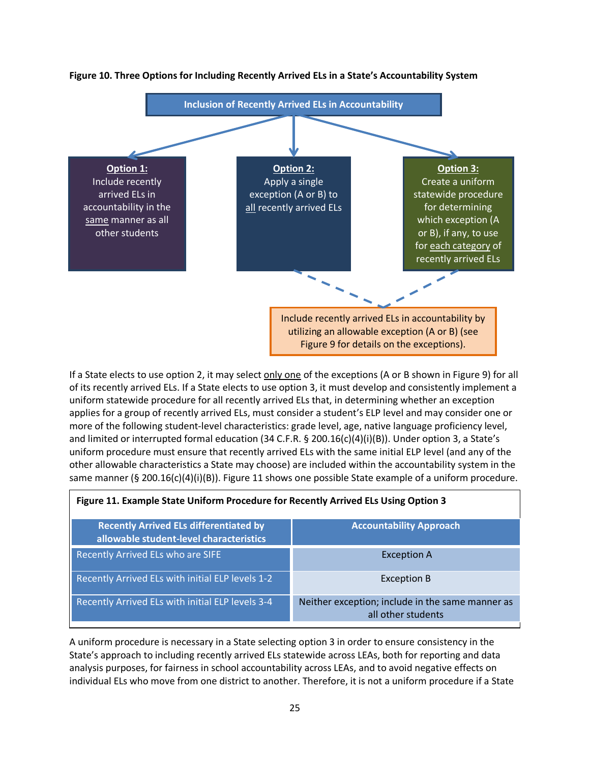

#### **Figure 10. Three Options for Including Recently Arrived ELs in a State's Accountability System**

If a State elects to use option 2, it may select only one of the exceptions (A or B shown in Figure 9) for all of its recently arrived ELs. If a State elects to use option 3, it must develop and consistently implement a uniform statewide procedure for all recently arrived ELs that, in determining whether an exception applies for a group of recently arrived ELs, must consider a student's ELP level and may consider one or more of the following student-level characteristics: grade level, age, native language proficiency level, and limited or interrupted formal education (34 C.F.R. § 200.16(c)(4)(i)(B)). Under option 3, a State's uniform procedure must ensure that recently arrived ELs with the same initial ELP level (and any of the other allowable characteristics a State may choose) are included within the accountability system in the same manner (§ 200.16(c)(4)(i)(B)). Figure 11 shows one possible State example of a uniform procedure.

| Figure 11. Example State Uniform Procedure for Recently Arrived ELs Using Option 3 |  |  |  |  |  |
|------------------------------------------------------------------------------------|--|--|--|--|--|
| <b>Accountability Approach</b>                                                     |  |  |  |  |  |
| <b>Exception A</b>                                                                 |  |  |  |  |  |
| <b>Exception B</b>                                                                 |  |  |  |  |  |
| Neither exception; include in the same manner as<br>all other students             |  |  |  |  |  |
|                                                                                    |  |  |  |  |  |

A uniform procedure is necessary in a State selecting option 3 in order to ensure consistency in the State's approach to including recently arrived ELs statewide across LEAs, both for reporting and data analysis purposes, for fairness in school accountability across LEAs, and to avoid negative effects on individual ELs who move from one district to another. Therefore, it is not a uniform procedure if a State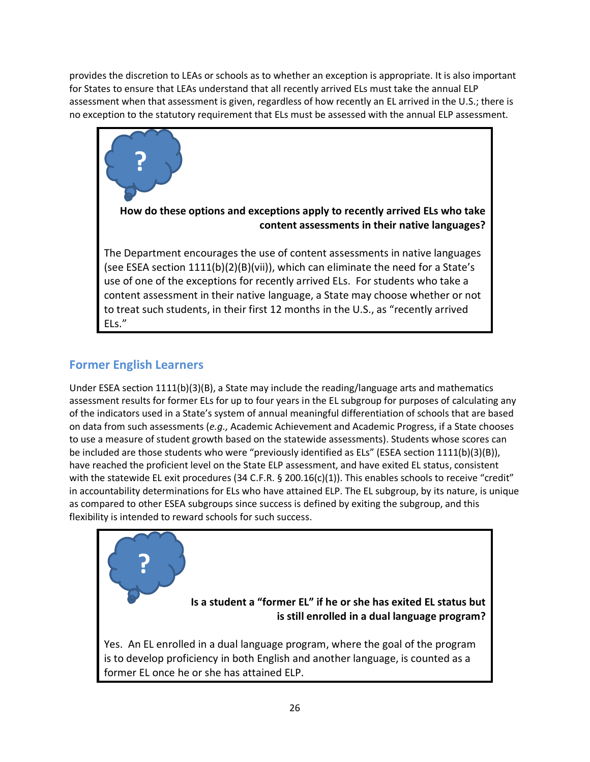provides the discretion to LEAs or schools as to whether an exception is appropriate. It is also important for States to ensure that LEAs understand that all recently arrived ELs must take the annual ELP assessment when that assessment is given, regardless of how recently an EL arrived in the U.S.; there is no exception to the statutory requirement that ELs must be assessed with the annual ELP assessment.



#### <span id="page-25-0"></span>**Former English Learners**

Under ESEA section 1111(b)(3)(B), a State may include the reading/language arts and mathematics assessment results for former ELs for up to four years in the EL subgroup for purposes of calculating any of the indicators used in a State's system of annual meaningful differentiation of schools that are based on data from such assessments (*e.g.,* Academic Achievement and Academic Progress, if a State chooses to use a measure of student growth based on the statewide assessments). Students whose scores can be included are those students who were "previously identified as ELs" (ESEA section 1111(b)(3)(B)), have reached the proficient level on the State ELP assessment, and have exited EL status, consistent with the statewide EL exit procedures (34 C.F.R. § 200.16(c)(1)). This enables schools to receive "credit" in accountability determinations for ELs who have attained ELP. The EL subgroup, by its nature, is unique as compared to other ESEA subgroups since success is defined by exiting the subgroup, and this flexibility is intended to reward schools for such success.

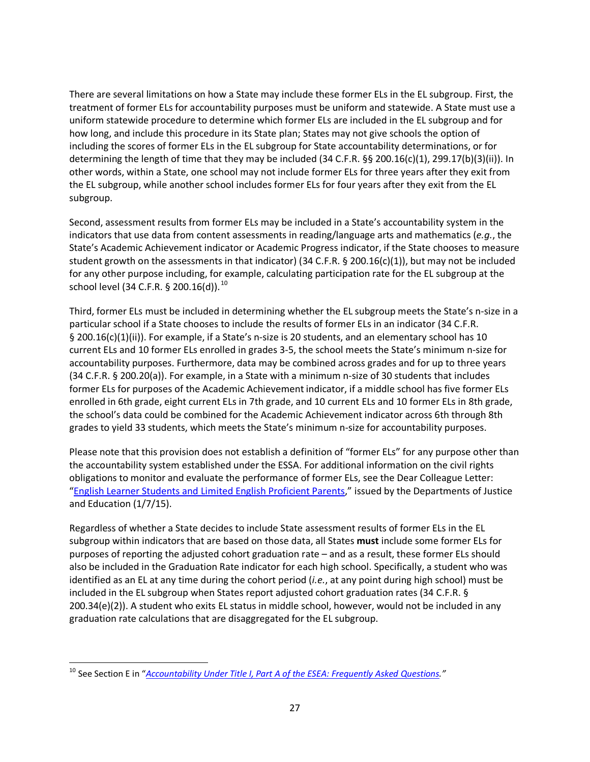There are several limitations on how a State may include these former ELs in the EL subgroup. First, the treatment of former ELs for accountability purposes must be uniform and statewide. A State must use a uniform statewide procedure to determine which former ELs are included in the EL subgroup and for how long, and include this procedure in its State plan; States may not give schools the option of including the scores of former ELs in the EL subgroup for State accountability determinations, or for determining the length of time that they may be included (34 C.F.R. §§ 200.16(c)(1), 299.17(b)(3)(ii)). In other words, within a State, one school may not include former ELs for three years after they exit from the EL subgroup, while another school includes former ELs for four years after they exit from the EL subgroup.

Second, assessment results from former ELs may be included in a State's accountability system in the indicators that use data from content assessments in reading/language arts and mathematics (*e.g.*, the State's Academic Achievement indicator or Academic Progress indicator, if the State chooses to measure student growth on the assessments in that indicator) (34 C.F.R. § 200.16(c)(1)), but may not be included for any other purpose including, for example, calculating participation rate for the EL subgroup at the school level (34 C.F.R. § 200.16(d)).<sup>[10](#page-26-0)</sup>

Third, former ELs must be included in determining whether the EL subgroup meets the State's n-size in a particular school if a State chooses to include the results of former ELs in an indicator (34 C.F.R. § 200.16(c)(1)(ii)). For example, if a State's n-size is 20 students, and an elementary school has 10 current ELs and 10 former ELs enrolled in grades 3-5, the school meets the State's minimum n-size for accountability purposes. Furthermore, data may be combined across grades and for up to three years (34 C.F.R. § 200.20(a)). For example, in a State with a minimum n-size of 30 students that includes former ELs for purposes of the Academic Achievement indicator, if a middle school has five former ELs enrolled in 6th grade, eight current ELs in 7th grade, and 10 current ELs and 10 former ELs in 8th grade, the school's data could be combined for the Academic Achievement indicator across 6th through 8th grades to yield 33 students, which meets the State's minimum n-size for accountability purposes.

Please note that this provision does not establish a definition of "former ELs" for any purpose other than the accountability system established under the ESSA. For additional information on the civil rights obligations to monitor and evaluate the performance of former ELs, see the Dear Colleague Letter: ["English Learner Students and Limited English Proficient Parents,"](http://www2.ed.gov/about/offices/list/ocr/letters/colleague-el-201501.pdf) issued by the Departments of Justice and Education (1/7/15).

Regardless of whether a State decides to include State assessment results of former ELs in the EL subgroup within indicators that are based on those data, all States **must** include some former ELs for purposes of reporting the adjusted cohort graduation rate – and as a result, these former ELs should also be included in the Graduation Rate indicator for each high school. Specifically, a student who was identified as an EL at any time during the cohort period (*i.e.*, at any point during high school) must be included in the EL subgroup when States report adjusted cohort graduation rates (34 C.F.R. § 200.34(e)(2)). A student who exits EL status in middle school, however, would not be included in any graduation rate calculations that are disaggregated for the EL subgroup.

<span id="page-26-0"></span> <sup>10</sup> See Section E in "*[Accountability Under Title I, Part A of the ESEA: Frequently Asked Questions.](http://www2.ed.gov/programs/titleiparta/eseatitleiaccountabilityfaqs.docx)"*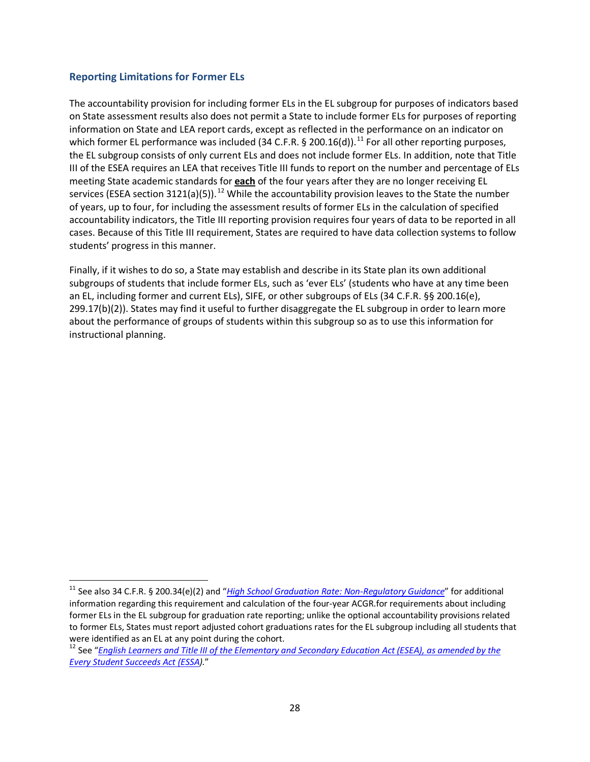#### <span id="page-27-0"></span>**Reporting Limitations for Former ELs**

The accountability provision for including former ELs in the EL subgroup for purposes of indicators based on State assessment results also does not permit a State to include former ELs for purposes of reporting information on State and LEA report cards, except as reflected in the performance on an indicator on which former EL performance was included (34 C.F.R. § 200.16(d)).<sup>[11](#page-27-1)</sup> For all other reporting purposes, the EL subgroup consists of only current ELs and does not include former ELs. In addition, note that Title III of the ESEA requires an LEA that receives Title III funds to report on the number and percentage of ELs meeting State academic standards for **each** of the four years after they are no longer receiving EL services (ESEA section 3[12](#page-27-2)1(a)(5)).<sup>12</sup> While the accountability provision leaves to the State the number of years, up to four, for including the assessment results of former ELs in the calculation of specified accountability indicators, the Title III reporting provision requires four years of data to be reported in all cases. Because of this Title III requirement, States are required to have data collection systems to follow students' progress in this manner.

Finally, if it wishes to do so, a State may establish and describe in its State plan its own additional subgroups of students that include former ELs, such as 'ever ELs' (students who have at any time been an EL, including former and current ELs), SIFE, or other subgroups of ELs (34 C.F.R. §§ 200.16(e), 299.17(b)(2)). States may find it useful to further disaggregate the EL subgroup in order to learn more about the performance of groups of students within this subgroup so as to use this information for instructional planning.

<span id="page-27-1"></span><sup>&</sup>lt;sup>11</sup> See also 34 C.F.R. § 200.34(e)(2) and "[High School Graduation Rate: Non-Regulatory Guidance](http://www2.ed.gov/policy/elsec/leg/essa/essagradrateguidance.pdf)" for additional information regarding this requirement and calculation of the four-year ACGR.for requirements about including former ELs in the EL subgroup for graduation rate reporting; unlike the optional accountability provisions related to former ELs, States must report adjusted cohort graduations rates for the EL subgroup including all students that were identified as an EL at any point during the cohort.<br><sup>12</sup> See "*English Learners and Title III of the Elementary and Secondary Education Act (ESEA), as amended by the* 

<span id="page-27-2"></span>*[Every Student Succeeds Act \(ESSA\)](http://www2.ed.gov/policy/elsec/leg/essa/essatitleiiiguidenglishlearners92016.pdf).*"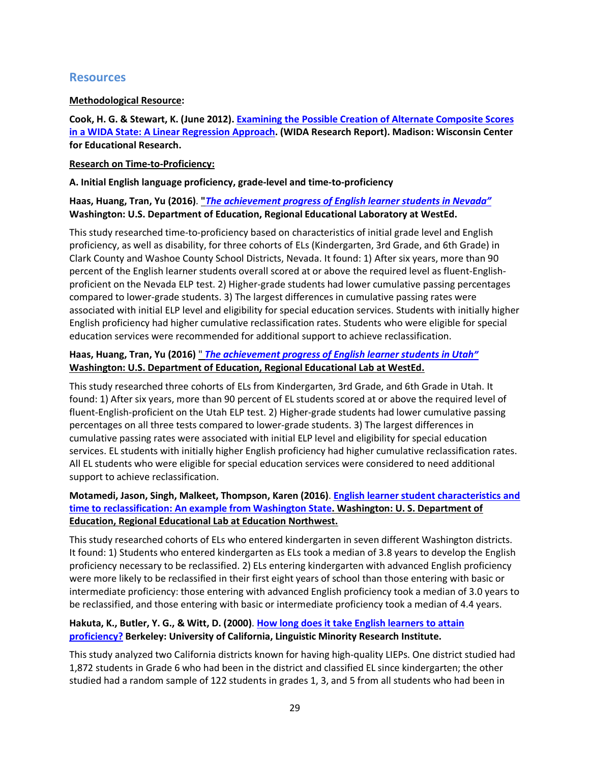#### <span id="page-28-0"></span>**Resources**

#### **Methodological Resource:**

**Cook, H. G. & Stewart, K. (June 2012). [Examining the Possible Creation of Alternate Composite Scores](https://www.wida.us/downloadLibrary.aspx)  [in a WIDA State: A Linear Regression Approach.](https://www.wida.us/downloadLibrary.aspx) (WIDA Research Report). Madison: Wisconsin Center for Educational Research.**

#### **Research on Time-to-Proficiency:**

#### **A. Initial English language proficiency, grade-level and time-to-proficiency**

#### **Haas, Huang, Tran, Yu (2016)**. **"***[The achievement progress of English learner students in Nevada"](http://ies.ed.gov/ncee/edlabs/regions/west/pdf/REL_2016154.pdf)* **Washington: U.S. Department of Education, Regional Educational Laboratory at WestEd.**

This study researched time-to-proficiency based on characteristics of initial grade level and English proficiency, as well as disability, for three cohorts of ELs (Kindergarten, 3rd Grade, and 6th Grade) in Clark County and Washoe County School Districts, Nevada. It found: 1) After six years, more than 90 percent of the English learner students overall scored at or above the required level as fluent-Englishproficient on the Nevada ELP test. 2) Higher-grade students had lower cumulative passing percentages compared to lower-grade students. 3) The largest differences in cumulative passing rates were associated with initial ELP level and eligibility for special education services. Students with initially higher English proficiency had higher cumulative reclassification rates. Students who were eligible for special education services were recommended for additional support to achieve reclassification.

#### **Haas, Huang, Tran, Yu (2016)** " *[The achievement progress of English learner students in Utah"](http://ies.ed.gov/ncee/edlabs/regions/west/pdf/REL_2016155.pdf)* **Washington: U.S. Department of Education, Regional Educational Lab at WestEd.**

This study researched three cohorts of ELs from Kindergarten, 3rd Grade, and 6th Grade in Utah. It found: 1) After six years, more than 90 percent of EL students scored at or above the required level of fluent-English-proficient on the Utah ELP test. 2) Higher-grade students had lower cumulative passing percentages on all three tests compared to lower-grade students. 3) The largest differences in cumulative passing rates were associated with initial ELP level and eligibility for special education services. EL students with initially higher English proficiency had higher cumulative reclassification rates. All EL students who were eligible for special education services were considered to need additional support to achieve reclassification.

#### **Motamedi, Jason, Singh, Malkeet, Thompson, Karen (2016)**. **[English learner student characteristics and](http://ies.ed.gov/ncee/edlabs/regions/northwest/pdf/REL_2016128.pdf)  [time to reclassification: An example from Washington State.](http://ies.ed.gov/ncee/edlabs/regions/northwest/pdf/REL_2016128.pdf) Washington: U. S. Department of Education, Regional Educational Lab at Education Northwest.**

This study researched cohorts of ELs who entered kindergarten in seven different Washington districts. It found: 1) Students who entered kindergarten as ELs took a median of 3.8 years to develop the English proficiency necessary to be reclassified. 2) ELs entering kindergarten with advanced English proficiency were more likely to be reclassified in their first eight years of school than those entering with basic or intermediate proficiency: those entering with advanced English proficiency took a median of 3.0 years to be reclassified, and those entering with basic or intermediate proficiency took a median of 4.4 years.

#### **Hakuta, K., Butler, Y. G., & Witt, D. (2000)**. **[How long does it take English learners to attain](http://escholarship.org/uc/item/13w7m06ghttp:/escholarship.org/uc/item/13w7m06g)  [proficiency?](http://escholarship.org/uc/item/13w7m06ghttp:/escholarship.org/uc/item/13w7m06g) Berkeley: University of California, Linguistic Minority Research Institute.**

This study analyzed two California districts known for having high-quality LIEPs. One district studied had 1,872 students in Grade 6 who had been in the district and classified EL since kindergarten; the other studied had a random sample of 122 students in grades 1, 3, and 5 from all students who had been in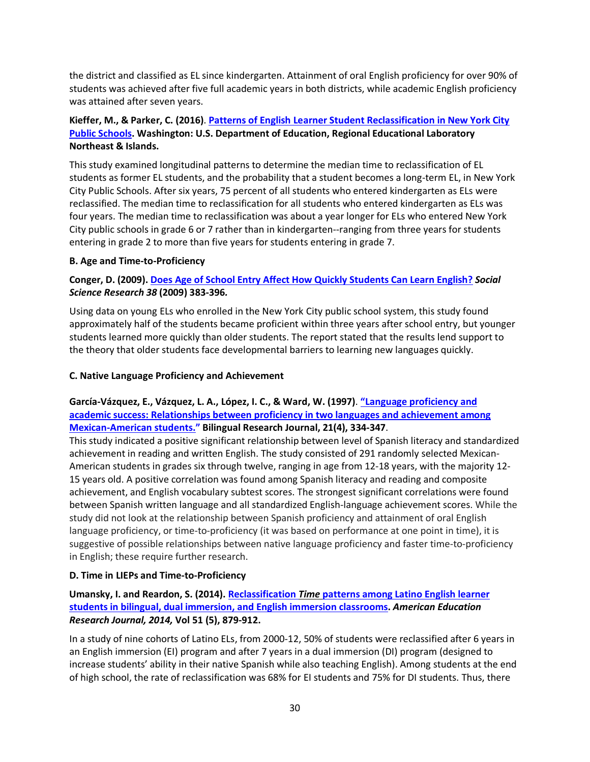the district and classified as EL since kindergarten. Attainment of oral English proficiency for over 90% of students was achieved after five full academic years in both districts, while academic English proficiency was attained after seven years.

#### **Kieffer, M., & Parker, C. (2016)**. **[Patterns of English Learner Student Reclassification in New York City](https://ies.ed.gov/ncee/edlabs/regions/northeast/pdf/REL_2017200.pdf)  [Public Schools.](https://ies.ed.gov/ncee/edlabs/regions/northeast/pdf/REL_2017200.pdf) Washington: U.S. Department of Education, Regional Educational Laboratory Northeast & Islands.**

This study examined longitudinal patterns to determine the median time to reclassification of EL students as former EL students, and the probability that a student becomes a long-term EL, in New York City Public Schools. After six years, 75 percent of all students who entered kindergarten as ELs were reclassified. The median time to reclassification for all students who entered kindergarten as ELs was four years. The median time to reclassification was about a year longer for ELs who entered New York City public schools in grade 6 or 7 rather than in kindergarten--ranging from three years for students entering in grade 2 to more than five years for students entering in grade 7.

#### **B. Age and Time-to-Proficiency**

#### **Conger, D. (2009). [Does Age of School Entry Affect How Quickly Students Can Learn English?](http://ac.els-cdn.com/S0049089X08000963/1-s2.0-S0049089X08000963-main.pdf?_tid=264df0a0-a900-11e6-a527-00000aab0f6c&acdnat=1478973059_3d026551655ef139c4be8d511dffc870)** *Social Science Research 38* **(2009) 383-396***.*

Using data on young ELs who enrolled in the New York City public school system, this study found approximately half of the students became proficient within three years after school entry, but younger students learned more quickly than older students. The report stated that the results lend support to the theory that older students face developmental barriers to learning new languages quickly.

#### **C. Native Language Proficiency and Achievement**

#### **García-Vázquez, E., Vázquez, L. A., López, I. C., & Ward, W. (1997)**. **["Language proficiency and](http://www.tandfonline.com/doi/pdf/10.1080/15235882.1997.10162712?needAccess=true)  [academic success: Relationships between proficiency in two languages and achievement among](http://www.tandfonline.com/doi/pdf/10.1080/15235882.1997.10162712?needAccess=true)  [Mexican-American students."](http://www.tandfonline.com/doi/pdf/10.1080/15235882.1997.10162712?needAccess=true) Bilingual Research Journal, 21(4), 334-347**.

This study indicated a positive significant relationship between level of Spanish literacy and standardized achievement in reading and written English. The study consisted of 291 randomly selected Mexican-American students in grades six through twelve, ranging in age from 12-18 years, with the majority 12- 15 years old. A positive correlation was found among Spanish literacy and reading and composite achievement, and English vocabulary subtest scores. The strongest significant correlations were found between Spanish written language and all standardized English-language achievement scores. While the study did not look at the relationship between Spanish proficiency and attainment of oral English language proficiency, or time-to-proficiency (it was based on performance at one point in time), it is suggestive of possible relationships between native language proficiency and faster time-to-proficiency in English; these require further research.

#### **D. Time in LIEPs and Time-to-Proficiency**

#### **Umansky, I. and Reardon, S. (2014). Reclassification** *Time* **[patterns among Latino English learner](http://aer.sagepub.com/content/51/5/879.full.pdf+html)  [students in bilingual, dual immersion, and English immersion classrooms.](http://aer.sagepub.com/content/51/5/879.full.pdf+html)** *American Education Research Journal, 2014,* **Vol 51 (5), 879-912.**

In a study of nine cohorts of Latino ELs, from 2000-12, 50% of students were reclassified after 6 years in an English immersion (EI) program and after 7 years in a dual immersion (DI) program (designed to increase students' ability in their native Spanish while also teaching English). Among students at the end of high school, the rate of reclassification was 68% for EI students and 75% for DI students. Thus, there